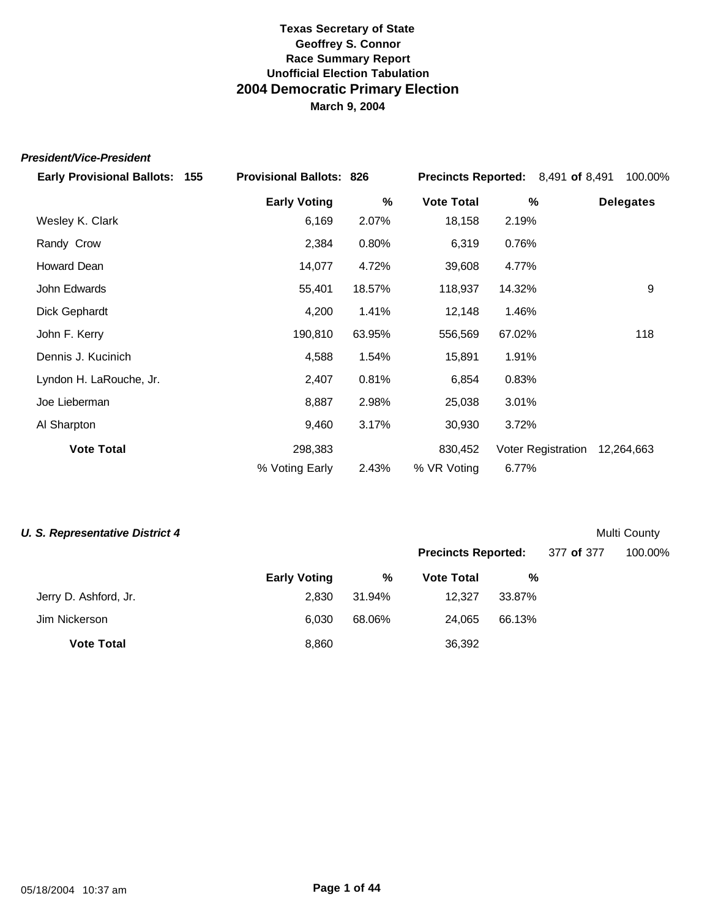#### *President/Vice-President*

| <b>Early Provisional Ballots: 155</b> | <b>Provisional Ballots: 826</b> |        | <b>Precincts Reported:</b> 8,491 of 8,491 |                           | 100.00%          |
|---------------------------------------|---------------------------------|--------|-------------------------------------------|---------------------------|------------------|
|                                       | <b>Early Voting</b>             | %      | <b>Vote Total</b>                         | %                         | <b>Delegates</b> |
| Wesley K. Clark                       | 6,169                           | 2.07%  | 18,158                                    | 2.19%                     |                  |
| Randy Crow                            | 2,384                           | 0.80%  | 6,319                                     | 0.76%                     |                  |
| Howard Dean                           | 14,077                          | 4.72%  | 39,608                                    | 4.77%                     |                  |
| John Edwards                          | 55,401                          | 18.57% | 118,937                                   | 14.32%                    | 9                |
| Dick Gephardt                         | 4,200                           | 1.41%  | 12,148                                    | 1.46%                     |                  |
| John F. Kerry                         | 190,810                         | 63.95% | 556,569                                   | 67.02%                    | 118              |
| Dennis J. Kucinich                    | 4,588                           | 1.54%  | 15,891                                    | 1.91%                     |                  |
| Lyndon H. LaRouche, Jr.               | 2,407                           | 0.81%  | 6,854                                     | 0.83%                     |                  |
| Joe Lieberman                         | 8,887                           | 2.98%  | 25,038                                    | 3.01%                     |                  |
| Al Sharpton                           | 9,460                           | 3.17%  | 30,930                                    | 3.72%                     |                  |
| <b>Vote Total</b>                     | 298,383                         |        | 830,452                                   | <b>Voter Registration</b> | 12,264,663       |
|                                       | % Voting Early                  | 2.43%  | % VR Voting                               | 6.77%                     |                  |

#### **U. S. Representative District 4** Multi County

|                       |                     |        | <b>Precincts Reported:</b> |        | 377 of 377 | 100.00% |
|-----------------------|---------------------|--------|----------------------------|--------|------------|---------|
|                       | <b>Early Voting</b> | %      | <b>Vote Total</b>          | %      |            |         |
| Jerry D. Ashford, Jr. | 2,830               | 31.94% | 12.327                     | 33.87% |            |         |
| Jim Nickerson         | 6,030               | 68.06% | 24.065                     | 66.13% |            |         |
| <b>Vote Total</b>     | 8,860               |        | 36,392                     |        |            |         |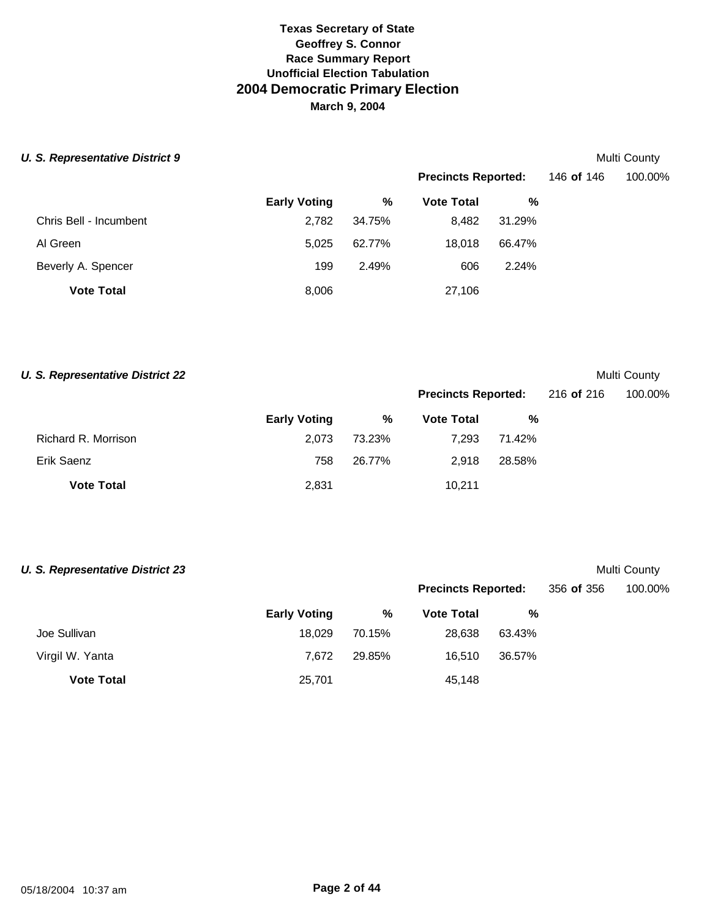|  |  | <b>U. S. Representative District 9</b> |  |
|--|--|----------------------------------------|--|
|--|--|----------------------------------------|--|

# **Multi County**

**Multi County** 

|                        |                     |        | <b>Precincts Reported:</b> |        | 146 of 146 | 100.00% |
|------------------------|---------------------|--------|----------------------------|--------|------------|---------|
|                        | <b>Early Voting</b> | %      | <b>Vote Total</b>          | %      |            |         |
| Chris Bell - Incumbent | 2,782               | 34.75% | 8,482                      | 31.29% |            |         |
| Al Green               | 5.025               | 62.77% | 18.018                     | 66.47% |            |         |
| Beverly A. Spencer     | 199                 | 2.49%  | 606                        | 2.24%  |            |         |
| <b>Vote Total</b>      | 8,006               |        | 27,106                     |        |            |         |

|  |  | <b>U. S. Representative District 22</b> |  |
|--|--|-----------------------------------------|--|
|--|--|-----------------------------------------|--|

|                     |                     |        | <b>Precincts Reported:</b> |        | 216 of 216 | 100.00% |
|---------------------|---------------------|--------|----------------------------|--------|------------|---------|
|                     | <b>Early Voting</b> | %      | <b>Vote Total</b>          | %      |            |         |
| Richard R. Morrison | 2.073               | 73.23% | 7.293                      | 71.42% |            |         |
| Erik Saenz          | 758                 | 26.77% | 2.918                      | 28.58% |            |         |
| <b>Vote Total</b>   | 2,831               |        | 10,211                     |        |            |         |

| U. S. Representative District 23 |                     |        |                            |        |            | Multi County |
|----------------------------------|---------------------|--------|----------------------------|--------|------------|--------------|
|                                  |                     |        | <b>Precincts Reported:</b> |        | 356 of 356 | 100.00%      |
|                                  | <b>Early Voting</b> | %      | <b>Vote Total</b>          | %      |            |              |
| Joe Sullivan                     | 18,029              | 70.15% | 28,638                     | 63.43% |            |              |
| Virgil W. Yanta                  | 7.672               | 29.85% | 16.510                     | 36.57% |            |              |
| <b>Vote Total</b>                | 25,701              |        | 45,148                     |        |            |              |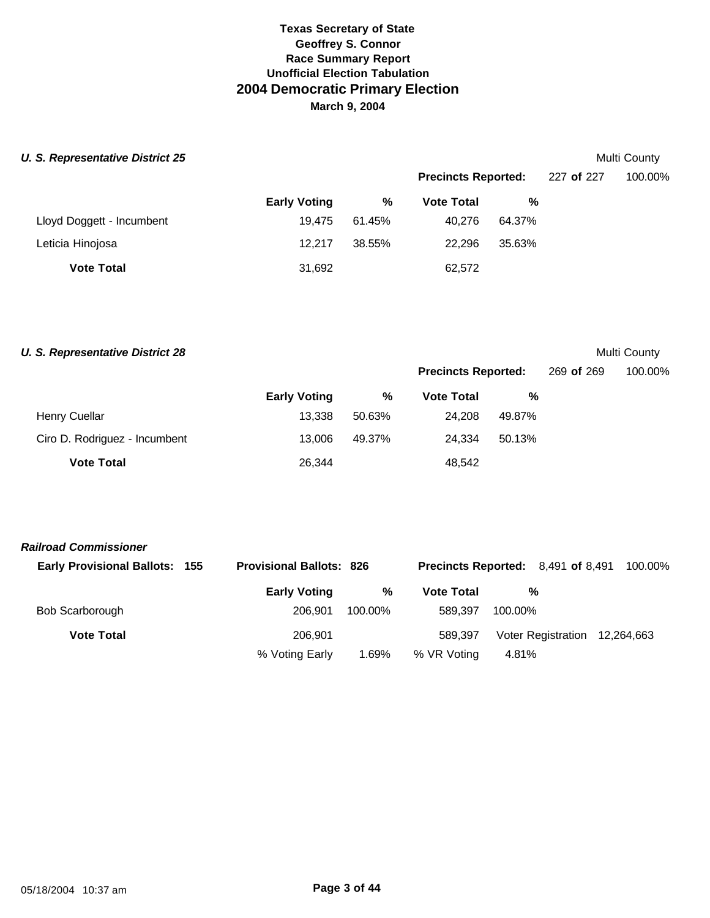#### **U. S. Representative District 25** Multi County

|                           |                     |        | <b>Precincts Reported:</b> |        | 227 of 227 | 100.00% |
|---------------------------|---------------------|--------|----------------------------|--------|------------|---------|
|                           | <b>Early Voting</b> | %      | <b>Vote Total</b>          | %      |            |         |
| Lloyd Doggett - Incumbent | 19.475              | 61.45% | 40.276                     | 64.37% |            |         |
| Leticia Hinojosa          | 12.217              | 38.55% | 22.296                     | 35.63% |            |         |
| <b>Vote Total</b>         | 31,692              |        | 62,572                     |        |            |         |

#### **U. S. Representative District 28** Multi County

**Precincts Reported:** 269 **of** 269 100.00%

|                               | <b>Early Voting</b> | %      | <b>Vote Total</b> | %      |
|-------------------------------|---------------------|--------|-------------------|--------|
| <b>Henry Cuellar</b>          | 13.338              | 50.63% | 24.208            | 49.87% |
| Ciro D. Rodriguez - Incumbent | 13.006              | 49.37% | 24.334            | 50.13% |
| <b>Vote Total</b>             | 26,344              |        | 48,542            |        |

#### *Railroad Commissioner*

| <b>Early Provisional Ballots: 155</b> | <b>Provisional Ballots: 826</b> |         |                   | <b>Precincts Reported:</b> 8,491 of 8,491 | 100.00% |
|---------------------------------------|---------------------------------|---------|-------------------|-------------------------------------------|---------|
|                                       | <b>Early Voting</b>             | %       | <b>Vote Total</b> | %                                         |         |
| Bob Scarborough                       | 206.901                         | 100.00% | 589.397           | 100.00%                                   |         |
| <b>Vote Total</b>                     | 206.901                         |         | 589.397           | Voter Registration 12,264,663             |         |
|                                       | % Voting Early                  | 1.69%   | % VR Voting       | 4.81%                                     |         |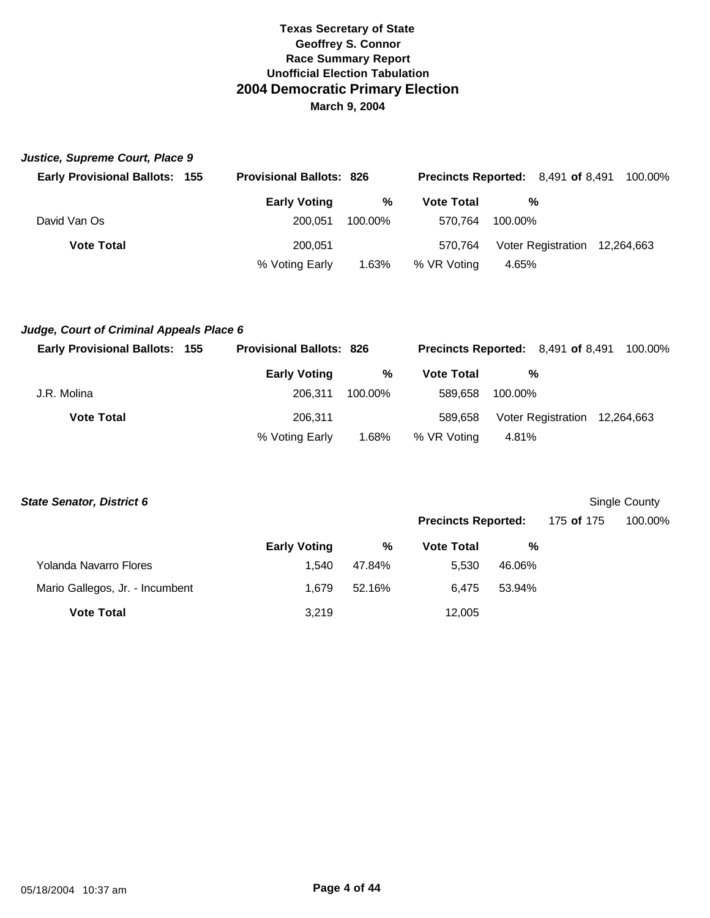| Justice, Supreme Court, Place 9       |                                 |         |                                           |         |                               |  |
|---------------------------------------|---------------------------------|---------|-------------------------------------------|---------|-------------------------------|--|
| <b>Early Provisional Ballots: 155</b> | <b>Provisional Ballots: 826</b> |         | <b>Precincts Reported:</b> 8,491 of 8,491 |         | 100.00%                       |  |
|                                       | <b>Early Voting</b>             | %       | <b>Vote Total</b>                         | %       |                               |  |
| David Van Os                          | 200.051                         | 100.00% | 570.764                                   | 100.00% |                               |  |
| <b>Vote Total</b>                     | 200.051                         |         | 570.764                                   |         | Voter Registration 12,264,663 |  |
|                                       | % Voting Early                  | 1.63%   | % VR Voting                               | 4.65%   |                               |  |

## *Judge, Court of Criminal Appeals Place 6*

| <b>Early Provisional Ballots: 155</b> | <b>Provisional Ballots: 826</b> |         |                   | <b>Precincts Reported:</b> 8,491 of 8,491 | 100.00% |
|---------------------------------------|---------------------------------|---------|-------------------|-------------------------------------------|---------|
|                                       | <b>Early Voting</b>             | %       | <b>Vote Total</b> | %                                         |         |
| J.R. Molina                           | 206.311                         | 100.00% | 589.658           | 100.00%                                   |         |
| <b>Vote Total</b>                     | 206.311                         |         | 589.658           | Voter Registration 12,264,663             |         |
|                                       | % Voting Early                  | 1.68%   | % VR Voting       | 4.81%                                     |         |

| <b>State Senator, District 6</b> |                     |        |                            |        |            | Single County |
|----------------------------------|---------------------|--------|----------------------------|--------|------------|---------------|
|                                  |                     |        | <b>Precincts Reported:</b> |        | 175 of 175 | 100.00%       |
|                                  | <b>Early Voting</b> | %      | <b>Vote Total</b>          | %      |            |               |
| Yolanda Navarro Flores           | 1.540               | 47.84% | 5,530                      | 46.06% |            |               |
| Mario Gallegos, Jr. - Incumbent  | 1.679               | 52.16% | 6.475                      | 53.94% |            |               |
| <b>Vote Total</b>                | 3,219               |        | 12,005                     |        |            |               |
|                                  |                     |        |                            |        |            |               |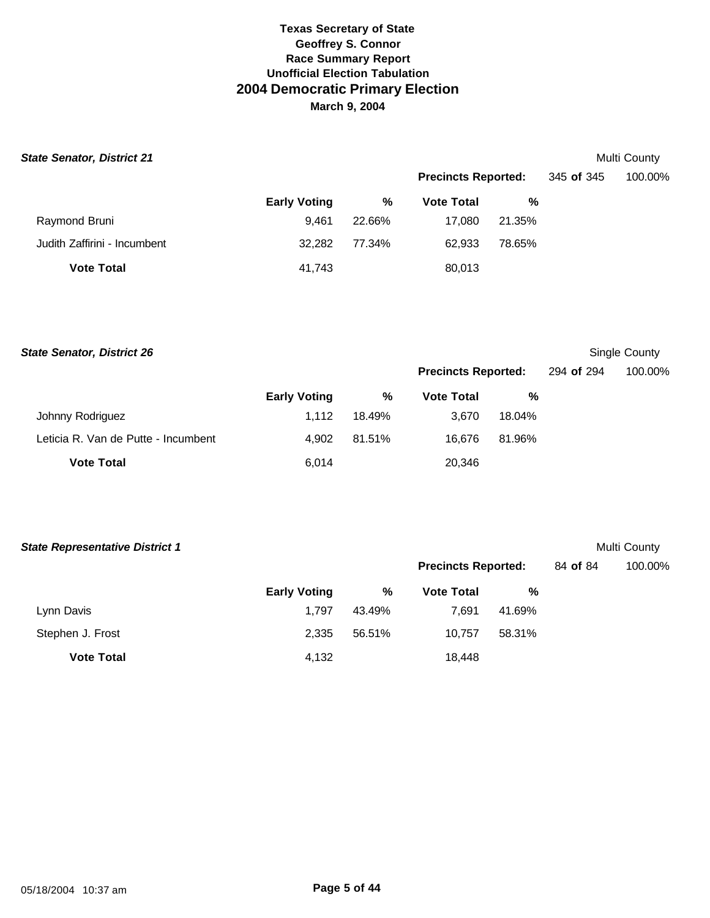| <b>State Senator, District 21</b> |                     |        |                            |        |            | Multi County |
|-----------------------------------|---------------------|--------|----------------------------|--------|------------|--------------|
|                                   |                     |        | <b>Precincts Reported:</b> |        | 345 of 345 | 100.00%      |
|                                   | <b>Early Voting</b> | %      | <b>Vote Total</b>          | %      |            |              |
| Raymond Bruni                     | 9.461               | 22.66% | 17.080                     | 21.35% |            |              |
| Judith Zaffirini - Incumbent      | 32,282              | 77.34% | 62,933                     | 78.65% |            |              |
| <b>Vote Total</b>                 | 41,743              |        | 80,013                     |        |            |              |

**Early Voting % Vote Total %** Johnny Rodriguez 1,112 18.49% 3,670 18.04% Leticia R. Van de Putte - Incumbent 4,902 81.51% 16,676 81.96% **Vote Total** 20,346 **State Senator, District 26** Single County **Precincts Reported:** 294 **of** 294 100.00%

| <b>State Representative District 1</b> |                     |        |                            |        |          | Multi County |
|----------------------------------------|---------------------|--------|----------------------------|--------|----------|--------------|
|                                        |                     |        | <b>Precincts Reported:</b> |        | 84 of 84 | 100.00%      |
|                                        | <b>Early Voting</b> | %      | <b>Vote Total</b>          | %      |          |              |
| Lynn Davis                             | 1.797               | 43.49% | 7.691                      | 41.69% |          |              |
| Stephen J. Frost                       | 2,335               | 56.51% | 10.757                     | 58.31% |          |              |
| <b>Vote Total</b>                      | 4,132               |        | 18,448                     |        |          |              |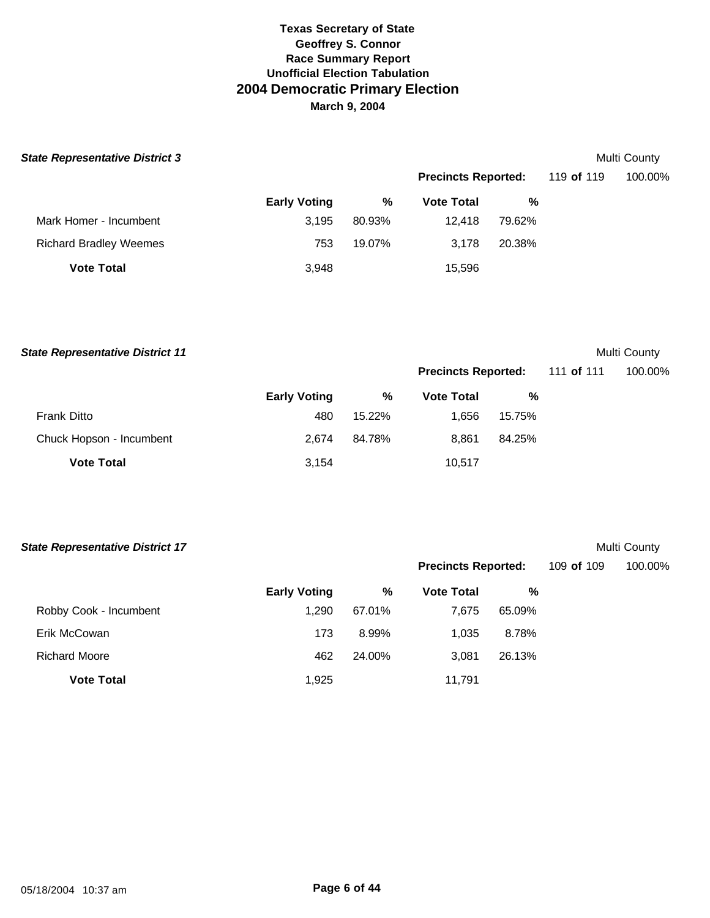| <b>State Representative District 3</b> |                     |        |                            |        |            | Multi County |
|----------------------------------------|---------------------|--------|----------------------------|--------|------------|--------------|
|                                        |                     |        | <b>Precincts Reported:</b> |        | 119 of 119 | 100.00%      |
|                                        | <b>Early Voting</b> | %      | <b>Vote Total</b>          | %      |            |              |
| Mark Homer - Incumbent                 | 3.195               | 80.93% | 12.418                     | 79.62% |            |              |
| <b>Richard Bradley Weemes</b>          | 753                 | 19.07% | 3.178                      | 20.38% |            |              |
| <b>Vote Total</b>                      | 3,948               |        | 15,596                     |        |            |              |

**State Representative District 11** Multi County

|                          |                     |        |                   | <b>Precincts Reported:</b> |  | 111 <b>of</b> 111 | 100.00% |
|--------------------------|---------------------|--------|-------------------|----------------------------|--|-------------------|---------|
|                          | <b>Early Voting</b> | %      | <b>Vote Total</b> | %                          |  |                   |         |
| <b>Frank Ditto</b>       | 480                 | 15.22% | 1.656             | 15.75%                     |  |                   |         |
| Chuck Hopson - Incumbent | 2.674               | 84.78% | 8.861             | 84.25%                     |  |                   |         |
| <b>Vote Total</b>        | 3,154               |        | 10,517            |                            |  |                   |         |

| <b>State Representative District 17</b> |                     |        |                            |        |            | Multi County |
|-----------------------------------------|---------------------|--------|----------------------------|--------|------------|--------------|
|                                         |                     |        | <b>Precincts Reported:</b> |        | 109 of 109 | 100.00%      |
|                                         | <b>Early Voting</b> | %      | <b>Vote Total</b>          | %      |            |              |
| Robby Cook - Incumbent                  | 1.290               | 67.01% | 7,675                      | 65.09% |            |              |
| Erik McCowan                            | 173                 | 8.99%  | 1,035                      | 8.78%  |            |              |
| <b>Richard Moore</b>                    | 462                 | 24.00% | 3,081                      | 26.13% |            |              |
| <b>Vote Total</b>                       | 1,925               |        | 11,791                     |        |            |              |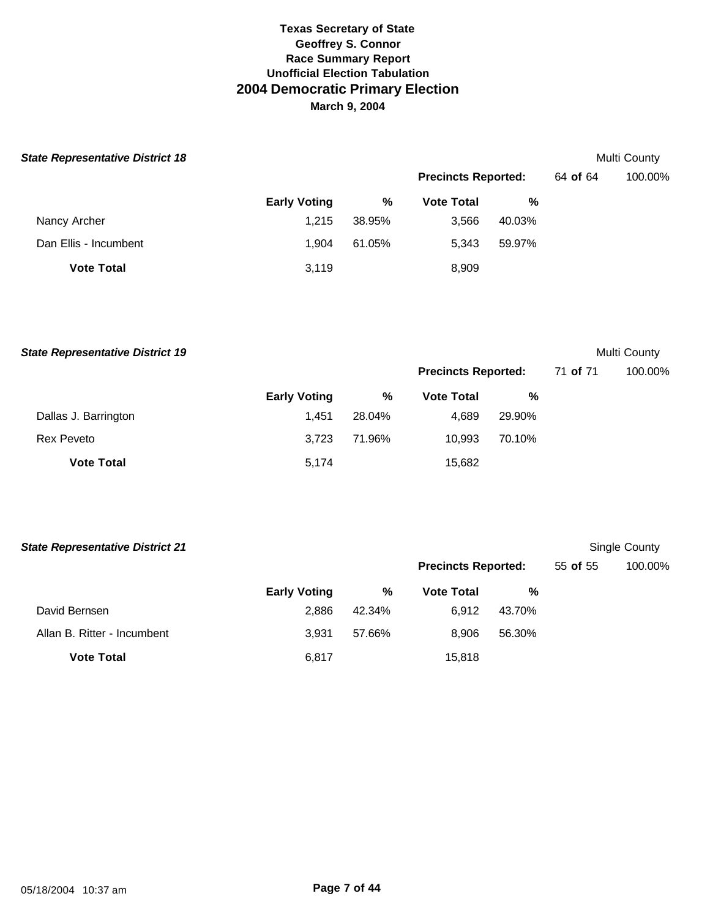| <b>State Representative District 18</b> |                     |        |                            |        |          | Multi County |
|-----------------------------------------|---------------------|--------|----------------------------|--------|----------|--------------|
|                                         |                     |        | <b>Precincts Reported:</b> |        | 64 of 64 | 100.00%      |
|                                         | <b>Early Voting</b> | %      | <b>Vote Total</b>          | %      |          |              |
| Nancy Archer                            | 1,215               | 38.95% | 3,566                      | 40.03% |          |              |
| Dan Ellis - Incumbent                   | 1.904               | 61.05% | 5,343                      | 59.97% |          |              |
| <b>Vote Total</b>                       | 3,119               |        | 8,909                      |        |          |              |

**State Representative District 19** Multi County

|                      |                     |        | <b>Precincts Reported:</b> |        | 71 of 71 | 100.00% |
|----------------------|---------------------|--------|----------------------------|--------|----------|---------|
|                      | <b>Early Voting</b> | %      | <b>Vote Total</b>          | %      |          |         |
| Dallas J. Barrington | 1.451               | 28.04% | 4.689                      | 29.90% |          |         |
| Rex Peveto           | 3.723               | 71.96% | 10.993                     | 70.10% |          |         |
| <b>Vote Total</b>    | 5,174               |        | 15,682                     |        |          |         |

| <b>State Representative District 21</b> |                     |        |                            |        |          | Single County |
|-----------------------------------------|---------------------|--------|----------------------------|--------|----------|---------------|
|                                         |                     |        | <b>Precincts Reported:</b> |        | 55 of 55 | 100.00%       |
|                                         | <b>Early Voting</b> | %      | <b>Vote Total</b>          | %      |          |               |
| David Bernsen                           | 2.886               | 42.34% | 6.912                      | 43.70% |          |               |
| Allan B. Ritter - Incumbent             | 3.931               | 57.66% | 8.906                      | 56.30% |          |               |
| <b>Vote Total</b>                       | 6,817               |        | 15,818                     |        |          |               |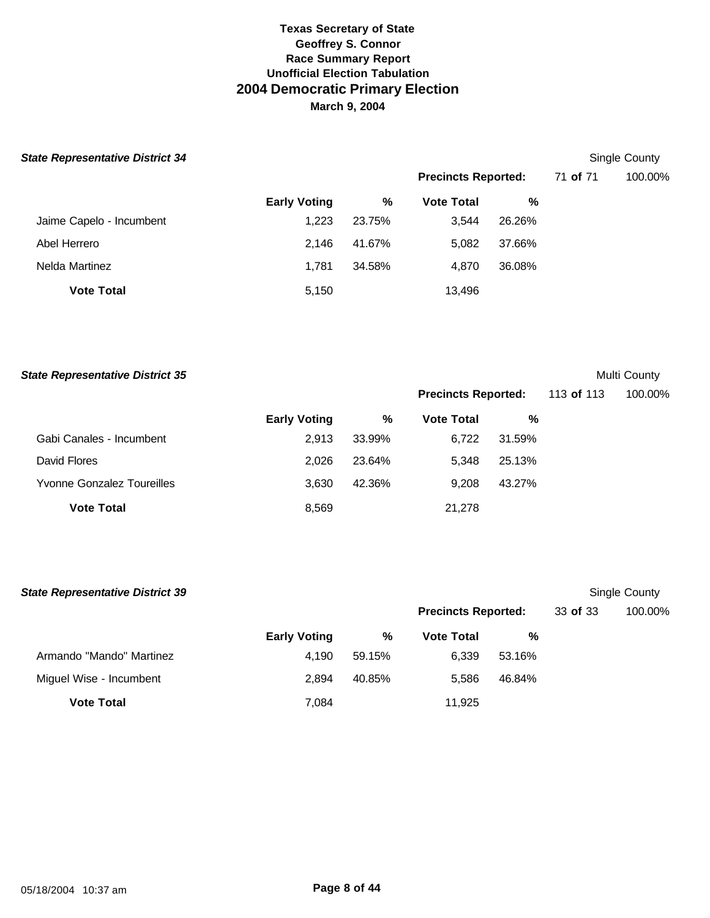| <b>State Representative District 34</b> |
|-----------------------------------------|
|-----------------------------------------|

# **Single County**

|                          |                     |        | <b>Precincts Reported:</b> |        | 71 of 71 | 100.00% |
|--------------------------|---------------------|--------|----------------------------|--------|----------|---------|
|                          | <b>Early Voting</b> | %      | <b>Vote Total</b>          | %      |          |         |
| Jaime Capelo - Incumbent | 1,223               | 23.75% | 3.544                      | 26.26% |          |         |
| Abel Herrero             | 2.146               | 41.67% | 5.082                      | 37.66% |          |         |
| Nelda Martinez           | 1,781               | 34.58% | 4.870                      | 36.08% |          |         |
| <b>Vote Total</b>        | 5,150               |        | 13,496                     |        |          |         |

| <b>State Representative District 35</b> | Multi County |
|-----------------------------------------|--------------|
|-----------------------------------------|--------------|

|  | Multi County |
|--|--------------|
|--|--------------|

|                            |                     |        | <b>Precincts Reported:</b> |        | 113 of 113 | 100.00% |
|----------------------------|---------------------|--------|----------------------------|--------|------------|---------|
|                            | <b>Early Voting</b> | %      | <b>Vote Total</b>          | %      |            |         |
| Gabi Canales - Incumbent   | 2,913               | 33.99% | 6.722                      | 31.59% |            |         |
| David Flores               | 2.026               | 23.64% | 5.348                      | 25.13% |            |         |
| Yvonne Gonzalez Toureilles | 3,630               | 42.36% | 9.208                      | 43.27% |            |         |
| <b>Vote Total</b>          | 8,569               |        | 21,278                     |        |            |         |

| <b>State Representative District 39</b> |                     |        |                            |        |          | Single County |
|-----------------------------------------|---------------------|--------|----------------------------|--------|----------|---------------|
|                                         |                     |        | <b>Precincts Reported:</b> |        | 33 of 33 | 100.00%       |
|                                         | <b>Early Voting</b> | %      | <b>Vote Total</b>          | %      |          |               |
| Armando "Mando" Martinez                | 4.190               | 59.15% | 6,339                      | 53.16% |          |               |
| Miguel Wise - Incumbent                 | 2.894               | 40.85% | 5.586                      | 46.84% |          |               |
| <b>Vote Total</b>                       | 7,084               |        | 11.925                     |        |          |               |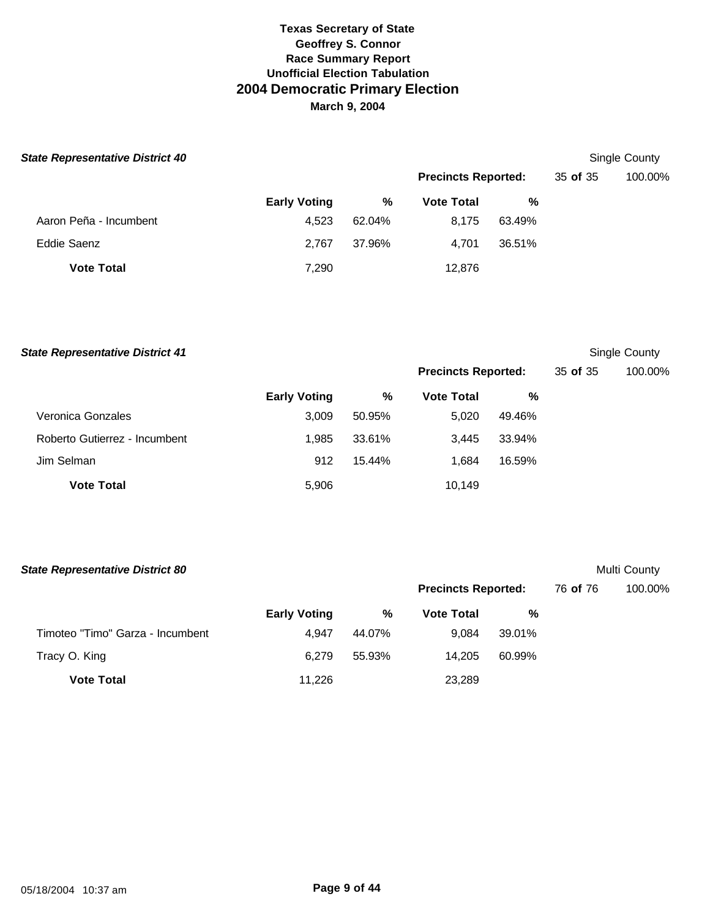| <b>State Representative District 40</b> |                     |        |                            |        |          | Single County |
|-----------------------------------------|---------------------|--------|----------------------------|--------|----------|---------------|
|                                         |                     |        | <b>Precincts Reported:</b> |        | 35 of 35 | 100.00%       |
|                                         | <b>Early Voting</b> | %      | <b>Vote Total</b>          | %      |          |               |
| Aaron Peña - Incumbent                  | 4.523               | 62.04% | 8,175                      | 63.49% |          |               |
| Eddie Saenz                             | 2.767               | 37.96% | 4,701                      | 36.51% |          |               |
| <b>Vote Total</b>                       | 7,290               |        | 12,876                     |        |          |               |

**State Representative District 41** Single County

|                               |                     |        | <b>Precincts Reported:</b> |        | 35 of 35 | 100.00% |
|-------------------------------|---------------------|--------|----------------------------|--------|----------|---------|
|                               | <b>Early Voting</b> | %      | <b>Vote Total</b>          | %      |          |         |
| Veronica Gonzales             | 3.009               | 50.95% | 5.020                      | 49.46% |          |         |
| Roberto Gutierrez - Incumbent | 1.985               | 33.61% | 3.445                      | 33.94% |          |         |
| Jim Selman                    | 912                 | 15.44% | 1.684                      | 16.59% |          |         |
| <b>Vote Total</b>             | 5,906               |        | 10,149                     |        |          |         |

| <b>State Representative District 80</b> |                     |        |                            |        |          | Multi County |
|-----------------------------------------|---------------------|--------|----------------------------|--------|----------|--------------|
|                                         |                     |        | <b>Precincts Reported:</b> |        | 76 of 76 | 100.00%      |
|                                         | <b>Early Voting</b> | %      | <b>Vote Total</b>          | %      |          |              |
| Timoteo "Timo" Garza - Incumbent        | 4.947               | 44.07% | 9.084                      | 39.01% |          |              |
| Tracy O. King                           | 6.279               | 55.93% | 14.205                     | 60.99% |          |              |
| <b>Vote Total</b>                       | 11,226              |        | 23,289                     |        |          |              |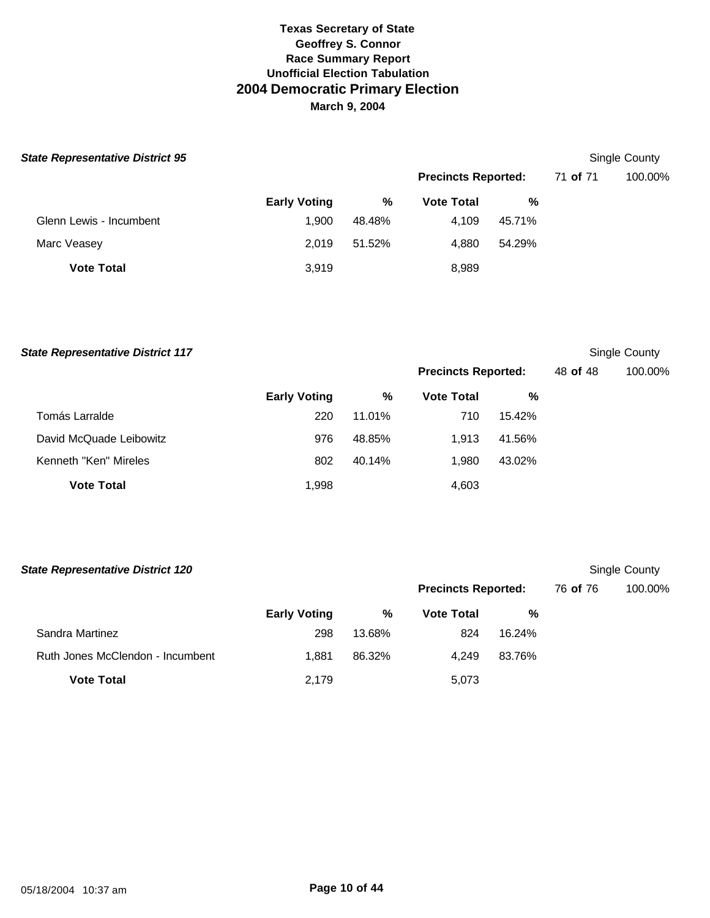| <b>State Representative District 95</b> |                     |        |                            |        |          | Single County |
|-----------------------------------------|---------------------|--------|----------------------------|--------|----------|---------------|
|                                         |                     |        | <b>Precincts Reported:</b> |        | 71 of 71 | 100.00%       |
|                                         | <b>Early Voting</b> | %      | <b>Vote Total</b>          | %      |          |               |
| Glenn Lewis - Incumbent                 | 1.900               | 48.48% | 4,109                      | 45.71% |          |               |
| Marc Veasey                             | 2.019               | 51.52% | 4,880                      | 54.29% |          |               |
| <b>Vote Total</b>                       | 3,919               |        | 8,989                      |        |          |               |

| <b>State Representative District 117</b> |                     |        |                            |        |          | Single County |
|------------------------------------------|---------------------|--------|----------------------------|--------|----------|---------------|
|                                          |                     |        | <b>Precincts Reported:</b> |        | 48 of 48 | 100.00%       |
|                                          | <b>Early Voting</b> | %      | <b>Vote Total</b>          | %      |          |               |
| Tomás Larralde                           | 220                 | 11.01% | 710                        | 15.42% |          |               |
| David McQuade Leibowitz                  | 976                 | 48.85% | 1,913                      | 41.56% |          |               |
| Kenneth "Ken" Mireles                    | 802                 | 40.14% | 1,980                      | 43.02% |          |               |
| <b>Vote Total</b>                        | 1,998               |        | 4,603                      |        |          |               |
|                                          |                     |        |                            |        |          |               |

| <b>State Representative District 120</b> |                     |        |                            |        |          | Single County |
|------------------------------------------|---------------------|--------|----------------------------|--------|----------|---------------|
|                                          |                     |        | <b>Precincts Reported:</b> |        | 76 of 76 | 100.00%       |
|                                          | <b>Early Voting</b> | %      | <b>Vote Total</b>          | %      |          |               |
| Sandra Martinez                          | 298                 | 13.68% | 824                        | 16.24% |          |               |
| Ruth Jones McClendon - Incumbent         | 1.881               | 86.32% | 4.249                      | 83.76% |          |               |
| <b>Vote Total</b>                        | 2,179               |        | 5,073                      |        |          |               |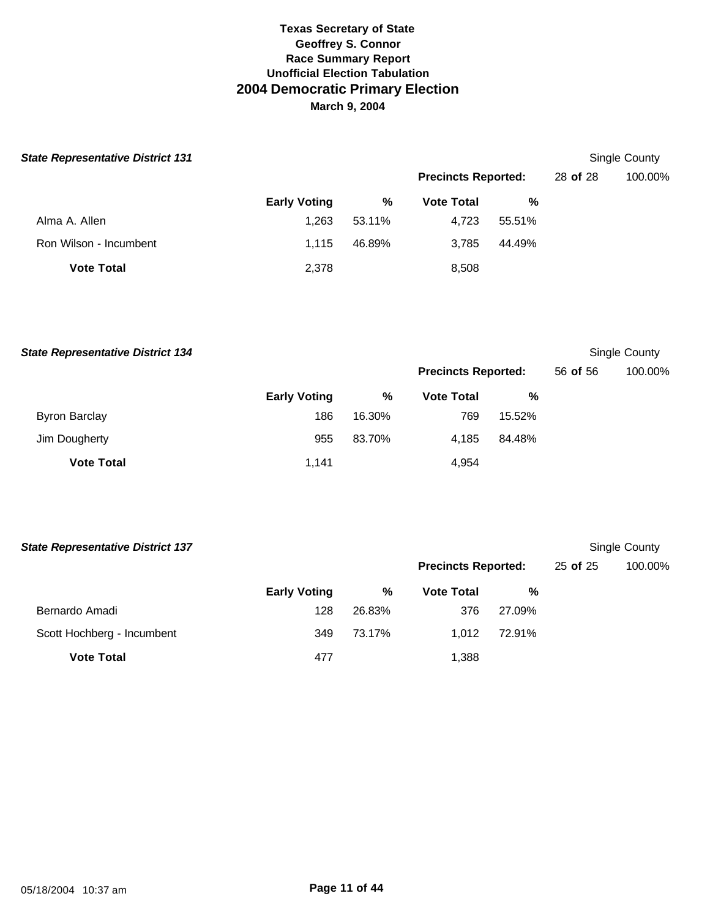| <b>State Representative District 131</b> |                     |        |                            |        |          | Single County |
|------------------------------------------|---------------------|--------|----------------------------|--------|----------|---------------|
|                                          |                     |        | <b>Precincts Reported:</b> |        | 28 of 28 | 100.00%       |
|                                          | <b>Early Voting</b> | %      | <b>Vote Total</b>          | %      |          |               |
| Alma A. Allen                            | 1,263               | 53.11% | 4,723                      | 55.51% |          |               |
| Ron Wilson - Incumbent                   | 1.115               | 46.89% | 3,785                      | 44.49% |          |               |
| <b>Vote Total</b>                        | 2,378               |        | 8,508                      |        |          |               |

**State Representative District 134** Single County

|                      |                     |        | <b>Precincts Reported:</b> |        | 56 of 56 | 100.00% |
|----------------------|---------------------|--------|----------------------------|--------|----------|---------|
|                      | <b>Early Voting</b> | %      | <b>Vote Total</b>          | %      |          |         |
| <b>Byron Barclay</b> | 186                 | 16.30% | 769                        | 15.52% |          |         |
| Jim Dougherty        | 955                 | 83.70% | 4.185                      | 84.48% |          |         |
| <b>Vote Total</b>    | 1,141               |        | 4,954                      |        |          |         |

| <b>State Representative District 137</b> |                     |        |                            |        |              | Single County |
|------------------------------------------|---------------------|--------|----------------------------|--------|--------------|---------------|
|                                          |                     |        | <b>Precincts Reported:</b> |        | $25$ of $25$ | 100.00%       |
|                                          | <b>Early Voting</b> | %      | <b>Vote Total</b>          | %      |              |               |
| Bernardo Amadi                           | 128                 | 26.83% | 376                        | 27.09% |              |               |
| Scott Hochberg - Incumbent               | 349                 | 73.17% | 1.012                      | 72.91% |              |               |
| <b>Vote Total</b>                        | 477                 |        | 1.388                      |        |              |               |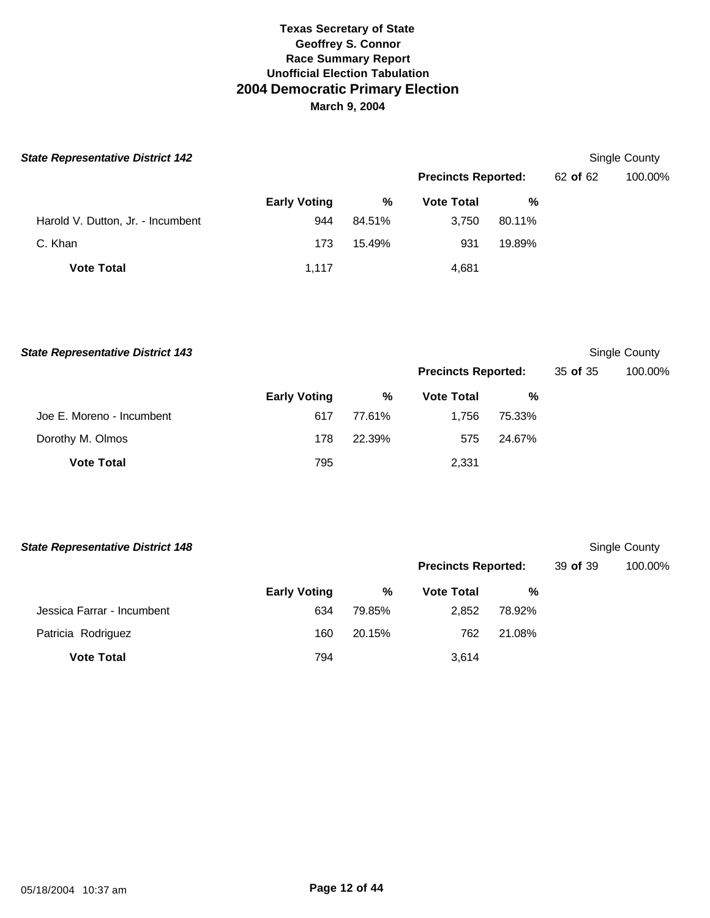| <b>State Representative District 142</b> |                     |        |                            |        |          | Single County |
|------------------------------------------|---------------------|--------|----------------------------|--------|----------|---------------|
|                                          |                     |        | <b>Precincts Reported:</b> |        | 62 of 62 | 100.00%       |
|                                          | <b>Early Voting</b> | %      | <b>Vote Total</b>          | %      |          |               |
| Harold V. Dutton, Jr. - Incumbent        | 944                 | 84.51% | 3,750                      | 80.11% |          |               |
| C. Khan                                  | 173                 | 15.49% | 931                        | 19.89% |          |               |
| <b>Vote Total</b>                        | 1.117               |        | 4,681                      |        |          |               |

**Early Voting % Vote Total %** Joe E. Moreno - Incumbent 617 77.61% 1,756 75.33% Dorothy M. Olmos **178 22.39%** 575 24.67% **Vote Total** 2,331 **State Representative District 143** Single County **Precincts Reported:** 35 **of** 35 100.00%

| <b>State Representative District 148</b> |                     |        |                            |        |          | Single County |
|------------------------------------------|---------------------|--------|----------------------------|--------|----------|---------------|
|                                          |                     |        | <b>Precincts Reported:</b> |        | 39 of 39 | 100.00%       |
|                                          | <b>Early Voting</b> | %      | <b>Vote Total</b>          | %      |          |               |
| Jessica Farrar - Incumbent               | 634                 | 79.85% | 2,852                      | 78.92% |          |               |
| Patricia Rodriguez                       | 160                 | 20.15% | 762                        | 21.08% |          |               |
| <b>Vote Total</b>                        | 794                 |        | 3.614                      |        |          |               |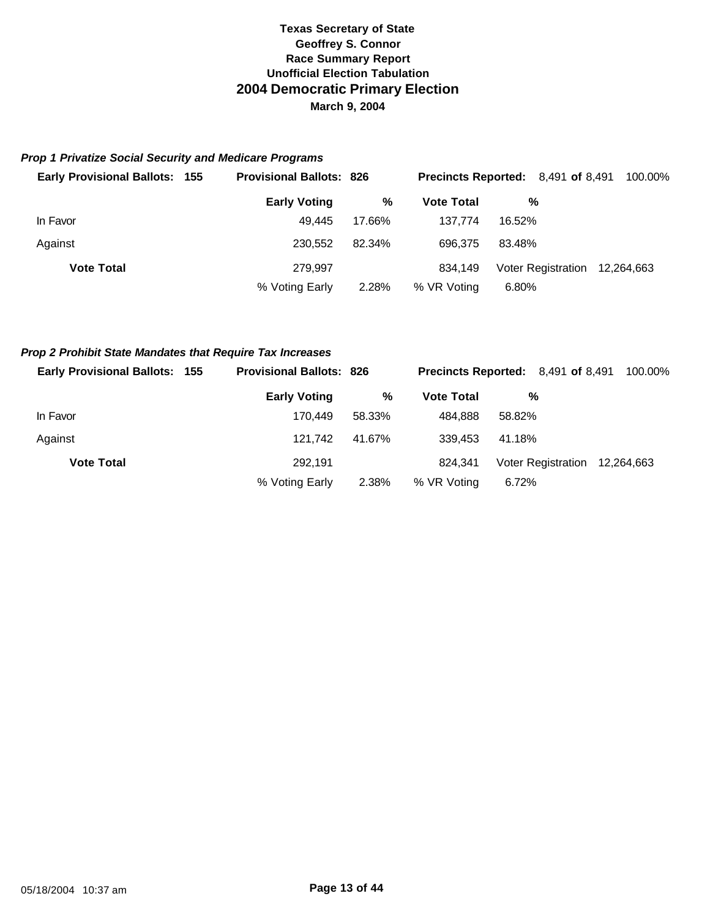#### *Prop 1 Privatize Social Security and Medicare Programs*

| <b>Early Provisional Ballots: 155</b> | <b>Provisional Ballots: 826</b> |        | <b>Precincts Reported:</b> 8,491 of 8,491 |        |                               | 100.00% |
|---------------------------------------|---------------------------------|--------|-------------------------------------------|--------|-------------------------------|---------|
|                                       | <b>Early Voting</b>             | %      | <b>Vote Total</b>                         | %      |                               |         |
| In Favor                              | 49.445                          | 17.66% | 137.774                                   | 16.52% |                               |         |
| Against                               | 230.552                         | 82.34% | 696.375                                   | 83.48% |                               |         |
| <b>Vote Total</b>                     | 279.997                         |        | 834.149                                   |        | Voter Registration 12,264,663 |         |
|                                       | % Voting Early                  | 2.28%  | % VR Voting                               | 6.80%  |                               |         |

#### *Prop 2 Prohibit State Mandates that Require Tax Increases*

| <b>Early Provisional Ballots: 155</b> | <b>Provisional Ballots: 826</b> |        | <b>Precincts Reported:</b> 8,491 of 8,491 |               |                               | 100.00% |
|---------------------------------------|---------------------------------|--------|-------------------------------------------|---------------|-------------------------------|---------|
|                                       | <b>Early Voting</b>             | %      | <b>Vote Total</b>                         | $\frac{0}{0}$ |                               |         |
| In Favor                              | 170.449                         | 58.33% | 484.888                                   | 58.82%        |                               |         |
| Against                               | 121.742                         | 41.67% | 339.453                                   | 41.18%        |                               |         |
| <b>Vote Total</b>                     | 292.191                         |        | 824.341                                   |               | Voter Registration 12,264,663 |         |
|                                       | % Voting Early                  | 2.38%  | % VR Voting                               | 6.72%         |                               |         |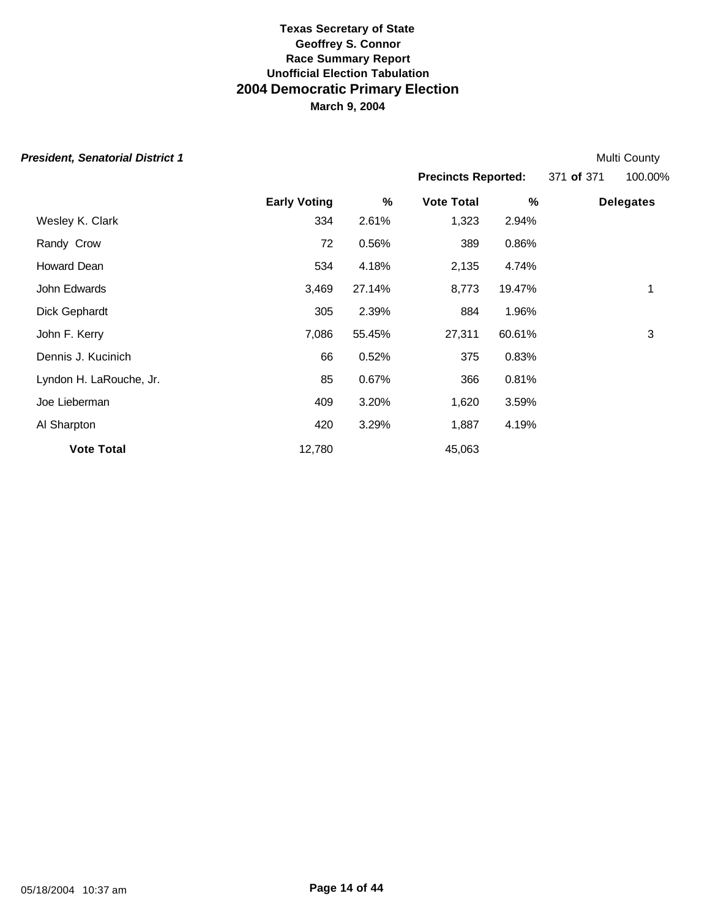| <b>President, Senatorial District 1</b> |                     |        |                            |        |            | Multi County     |
|-----------------------------------------|---------------------|--------|----------------------------|--------|------------|------------------|
|                                         |                     |        | <b>Precincts Reported:</b> |        | 371 of 371 | 100.00%          |
|                                         | <b>Early Voting</b> | %      | <b>Vote Total</b>          | %      |            | <b>Delegates</b> |
| Wesley K. Clark                         | 334                 | 2.61%  | 1,323                      | 2.94%  |            |                  |
| Randy Crow                              | 72                  | 0.56%  | 389                        | 0.86%  |            |                  |
| Howard Dean                             | 534                 | 4.18%  | 2,135                      | 4.74%  |            |                  |
| John Edwards                            | 3,469               | 27.14% | 8,773                      | 19.47% |            | 1                |
| Dick Gephardt                           | 305                 | 2.39%  | 884                        | 1.96%  |            |                  |
| John F. Kerry                           | 7,086               | 55.45% | 27,311                     | 60.61% |            | 3                |
| Dennis J. Kucinich                      | 66                  | 0.52%  | 375                        | 0.83%  |            |                  |
| Lyndon H. LaRouche, Jr.                 | 85                  | 0.67%  | 366                        | 0.81%  |            |                  |
| Joe Lieberman                           | 409                 | 3.20%  | 1,620                      | 3.59%  |            |                  |
| Al Sharpton                             | 420                 | 3.29%  | 1,887                      | 4.19%  |            |                  |
| <b>Vote Total</b>                       | 12,780              |        | 45,063                     |        |            |                  |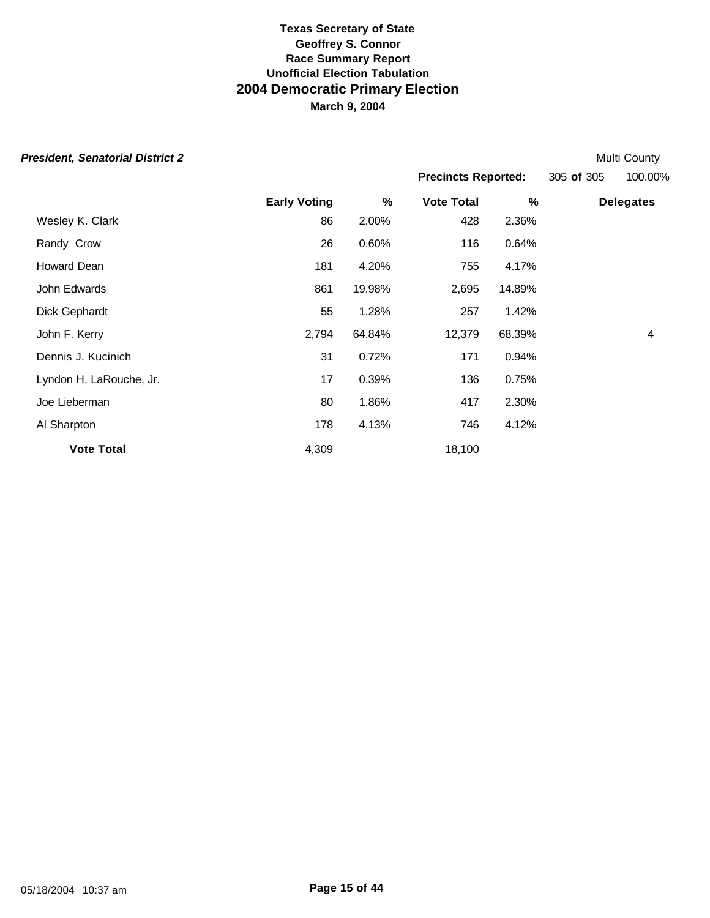|  | President, Senatorial District 2 |  |
|--|----------------------------------|--|
|--|----------------------------------|--|

**Early Voting % Vote Total % Delegates** Wesley K. Clark 2.00% 428 2.36% Randy Crow 26 0.60% 116 0.64% Howard Dean 181 4.20% 755 4.17% John Edwards 861 19.98% 2,695 14.89% Dick Gephardt 55 1.28% 257 1.42% John F. Kerry 2,794 64.84% 12,379 68.39% 4 Dennis J. Kucinich 31 0.72% 171 0.94% Lyndon H. LaRouche, Jr. 17 0.39% 136 0.75% Joe Lieberman 80 1.86% 417 2.30% Al Sharpton 178 4.13% 746 4.12% **President, Senatorial District 2** Multi County of the Senatorial District 2 Multi County of the Senatorial District 2 **Precincts Reported:** 305 **of** 305 100.00%

**Vote Total** 18,100

05/18/2004 10:37 am **Page 15 of 44**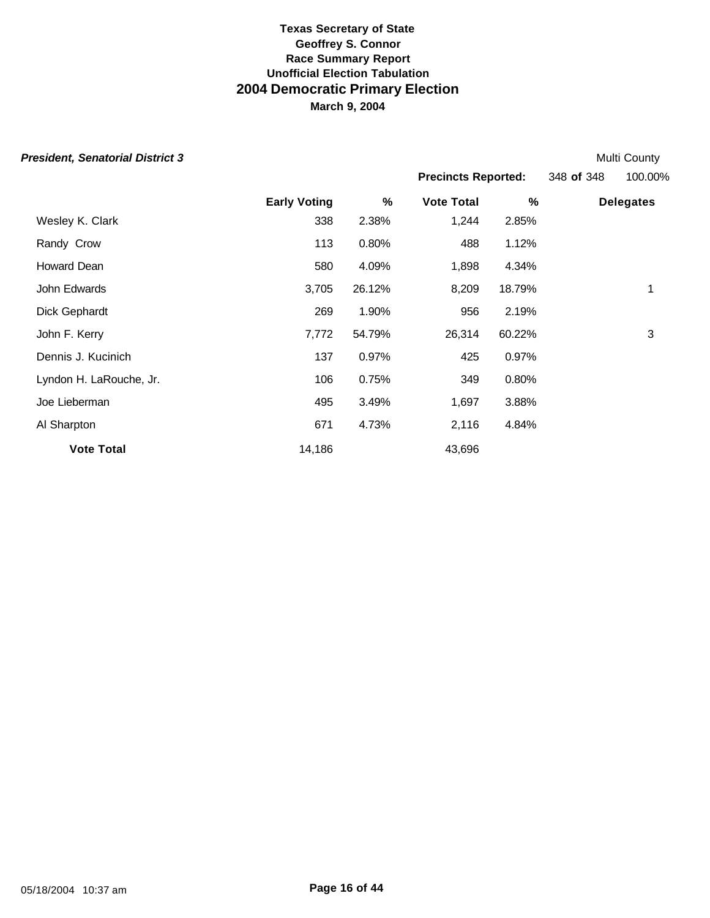| <b>President, Senatorial District 3</b> |                     |        |                            |        |            | Multi County     |
|-----------------------------------------|---------------------|--------|----------------------------|--------|------------|------------------|
|                                         |                     |        | <b>Precincts Reported:</b> |        | 348 of 348 | 100.00%          |
|                                         | <b>Early Voting</b> | %      | <b>Vote Total</b>          | %      |            | <b>Delegates</b> |
| Wesley K. Clark                         | 338                 | 2.38%  | 1,244                      | 2.85%  |            |                  |
| Randy Crow                              | 113                 | 0.80%  | 488                        | 1.12%  |            |                  |
| Howard Dean                             | 580                 | 4.09%  | 1,898                      | 4.34%  |            |                  |
| John Edwards                            | 3,705               | 26.12% | 8,209                      | 18.79% |            | 1                |
| Dick Gephardt                           | 269                 | 1.90%  | 956                        | 2.19%  |            |                  |
| John F. Kerry                           | 7,772               | 54.79% | 26,314                     | 60.22% |            | 3                |
| Dennis J. Kucinich                      | 137                 | 0.97%  | 425                        | 0.97%  |            |                  |
| Lyndon H. LaRouche, Jr.                 | 106                 | 0.75%  | 349                        | 0.80%  |            |                  |
| Joe Lieberman                           | 495                 | 3.49%  | 1,697                      | 3.88%  |            |                  |
| Al Sharpton                             | 671                 | 4.73%  | 2,116                      | 4.84%  |            |                  |
| <b>Vote Total</b>                       | 14,186              |        | 43,696                     |        |            |                  |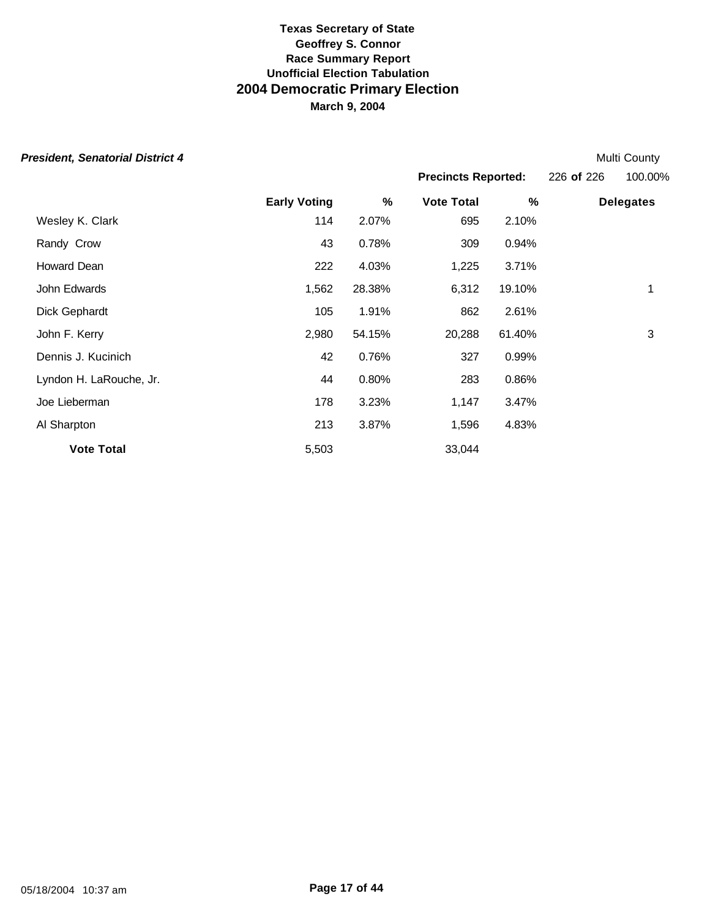| <b>President, Senatorial District 4</b> |                     |        |                            |        |            | Multi County     |
|-----------------------------------------|---------------------|--------|----------------------------|--------|------------|------------------|
|                                         |                     |        | <b>Precincts Reported:</b> |        | 226 of 226 | 100.00%          |
|                                         | <b>Early Voting</b> | %      | <b>Vote Total</b>          | %      |            | <b>Delegates</b> |
| Wesley K. Clark                         | 114                 | 2.07%  | 695                        | 2.10%  |            |                  |
| Randy Crow                              | 43                  | 0.78%  | 309                        | 0.94%  |            |                  |
| Howard Dean                             | 222                 | 4.03%  | 1,225                      | 3.71%  |            |                  |
| John Edwards                            | 1,562               | 28.38% | 6,312                      | 19.10% |            | 1                |
| Dick Gephardt                           | 105                 | 1.91%  | 862                        | 2.61%  |            |                  |
| John F. Kerry                           | 2,980               | 54.15% | 20,288                     | 61.40% |            | 3                |
| Dennis J. Kucinich                      | 42                  | 0.76%  | 327                        | 0.99%  |            |                  |
| Lyndon H. LaRouche, Jr.                 | 44                  | 0.80%  | 283                        | 0.86%  |            |                  |
| Joe Lieberman                           | 178                 | 3.23%  | 1,147                      | 3.47%  |            |                  |
| Al Sharpton                             | 213                 | 3.87%  | 1,596                      | 4.83%  |            |                  |
| <b>Vote Total</b>                       | 5,503               |        | 33,044                     |        |            |                  |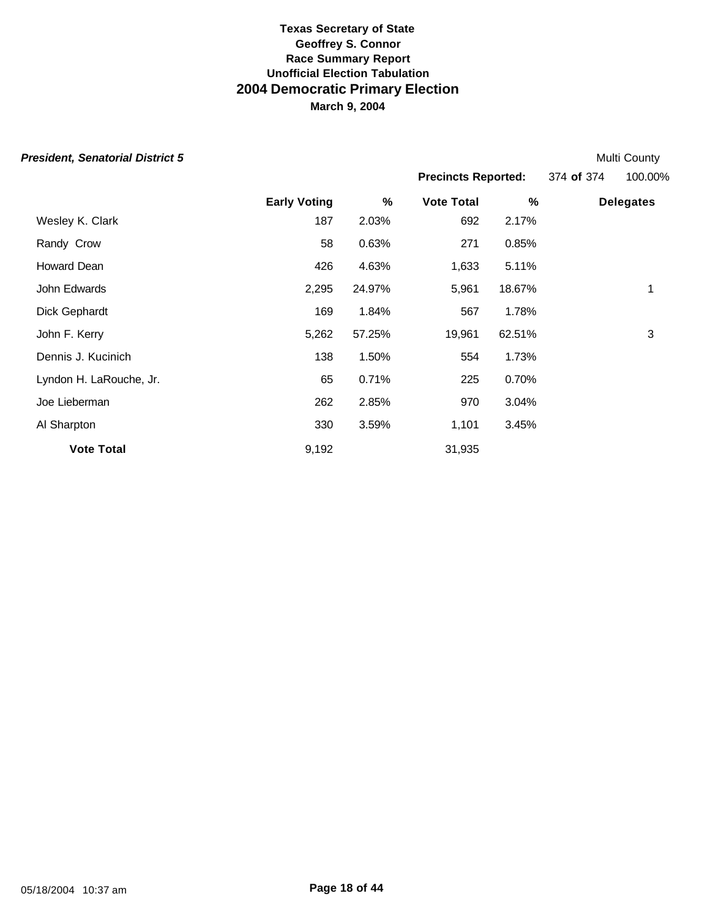| <b>President, Senatorial District 5</b> |                     |        |                            |        |            | Multi County     |
|-----------------------------------------|---------------------|--------|----------------------------|--------|------------|------------------|
|                                         |                     |        | <b>Precincts Reported:</b> |        | 374 of 374 | 100.00%          |
|                                         | <b>Early Voting</b> | %      | <b>Vote Total</b>          | %      |            | <b>Delegates</b> |
| Wesley K. Clark                         | 187                 | 2.03%  | 692                        | 2.17%  |            |                  |
| Randy Crow                              | 58                  | 0.63%  | 271                        | 0.85%  |            |                  |
| Howard Dean                             | 426                 | 4.63%  | 1,633                      | 5.11%  |            |                  |
| John Edwards                            | 2,295               | 24.97% | 5,961                      | 18.67% |            | 1                |
| Dick Gephardt                           | 169                 | 1.84%  | 567                        | 1.78%  |            |                  |
| John F. Kerry                           | 5,262               | 57.25% | 19,961                     | 62.51% |            | 3                |
| Dennis J. Kucinich                      | 138                 | 1.50%  | 554                        | 1.73%  |            |                  |
| Lyndon H. LaRouche, Jr.                 | 65                  | 0.71%  | 225                        | 0.70%  |            |                  |
| Joe Lieberman                           | 262                 | 2.85%  | 970                        | 3.04%  |            |                  |
| Al Sharpton                             | 330                 | 3.59%  | 1,101                      | 3.45%  |            |                  |
| <b>Vote Total</b>                       | 9,192               |        | 31,935                     |        |            |                  |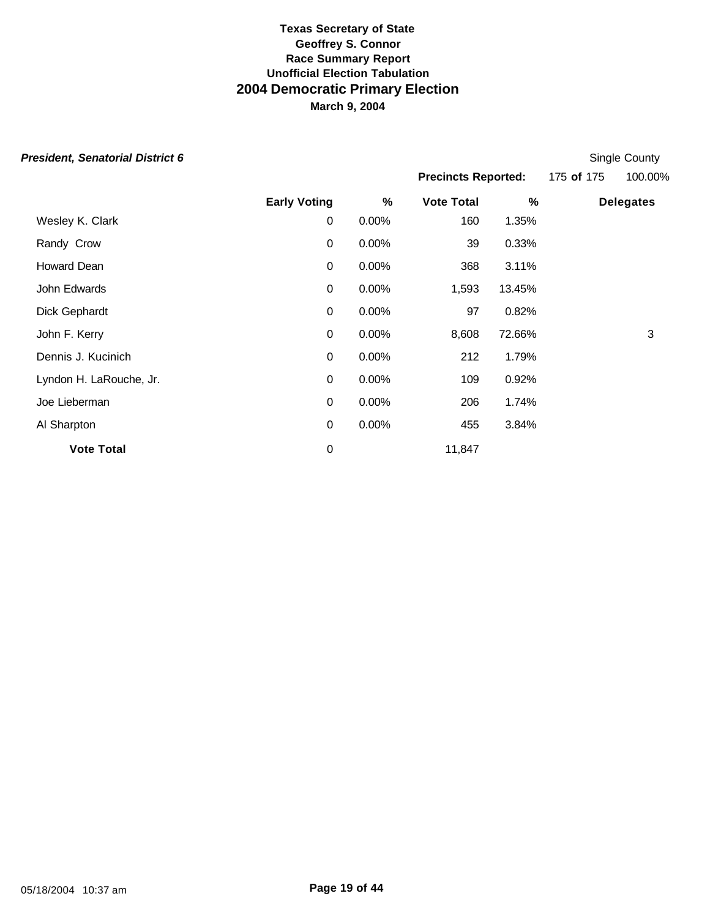|  | President, Senatorial District 6 |  |  |
|--|----------------------------------|--|--|
|--|----------------------------------|--|--|

| <b>President, Senatorial District 6</b> |                     |          |                            |        |            | Single County    |
|-----------------------------------------|---------------------|----------|----------------------------|--------|------------|------------------|
|                                         |                     |          | <b>Precincts Reported:</b> |        | 175 of 175 | 100.00%          |
|                                         | <b>Early Voting</b> | $\%$     | <b>Vote Total</b>          | %      |            | <b>Delegates</b> |
| Wesley K. Clark                         | 0                   | 0.00%    | 160                        | 1.35%  |            |                  |
| Randy Crow                              | $\mathbf 0$         | $0.00\%$ | 39                         | 0.33%  |            |                  |
| Howard Dean                             | 0                   | $0.00\%$ | 368                        | 3.11%  |            |                  |
| John Edwards                            | $\mathbf 0$         | 0.00%    | 1,593                      | 13.45% |            |                  |
| Dick Gephardt                           | $\mathbf 0$         | 0.00%    | 97                         | 0.82%  |            |                  |
| John F. Kerry                           | 0                   | 0.00%    | 8,608                      | 72.66% |            | 3                |
| Dennis J. Kucinich                      | $\mathbf 0$         | 0.00%    | 212                        | 1.79%  |            |                  |
| Lyndon H. LaRouche, Jr.                 | $\mathbf 0$         | 0.00%    | 109                        | 0.92%  |            |                  |
| Joe Lieberman                           | $\mathbf 0$         | 0.00%    | 206                        | 1.74%  |            |                  |
| Al Sharpton                             | $\mathbf 0$         | 0.00%    | 455                        | 3.84%  |            |                  |
| <b>Vote Total</b>                       | $\mathbf 0$         |          | 11,847                     |        |            |                  |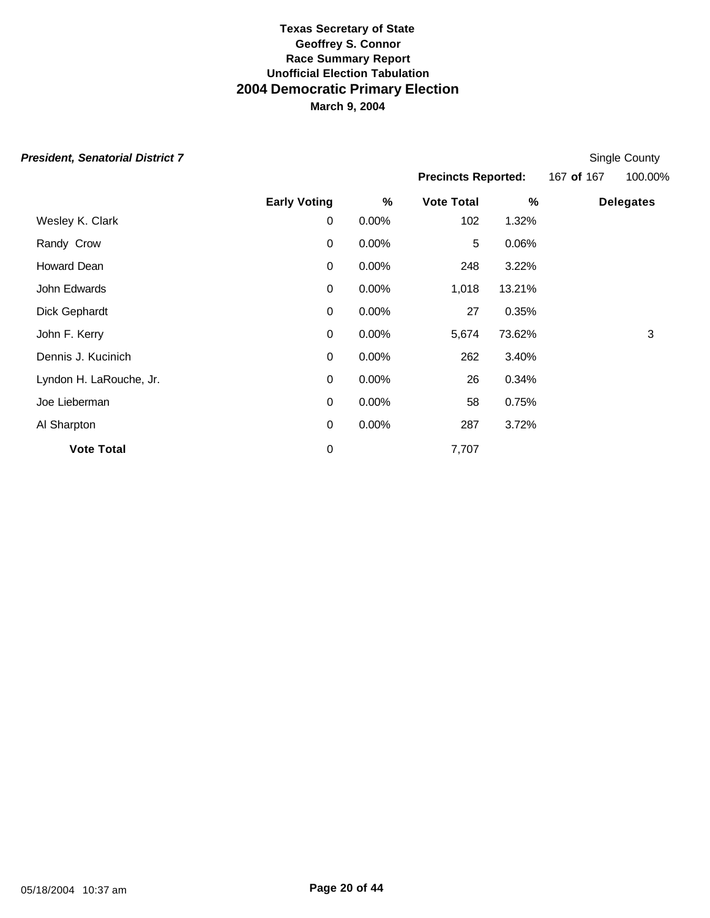| <b>President, Senatorial District 7</b> |                     |          |                            |        |            | Single County    |
|-----------------------------------------|---------------------|----------|----------------------------|--------|------------|------------------|
|                                         |                     |          | <b>Precincts Reported:</b> |        | 167 of 167 | 100.00%          |
|                                         | <b>Early Voting</b> | %        | <b>Vote Total</b>          | $\%$   |            | <b>Delegates</b> |
| Wesley K. Clark                         | 0                   | $0.00\%$ | 102                        | 1.32%  |            |                  |
| Randy Crow                              | $\mathbf 0$         | $0.00\%$ | 5                          | 0.06%  |            |                  |
| Howard Dean                             | $\mathbf 0$         | 0.00%    | 248                        | 3.22%  |            |                  |
| John Edwards                            | $\mathbf 0$         | 0.00%    | 1,018                      | 13.21% |            |                  |
| Dick Gephardt                           | $\mathbf 0$         | 0.00%    | 27                         | 0.35%  |            |                  |
| John F. Kerry                           | $\mathbf 0$         | 0.00%    | 5,674                      | 73.62% |            | 3                |
| Dennis J. Kucinich                      | $\mathbf 0$         | 0.00%    | 262                        | 3.40%  |            |                  |
| Lyndon H. LaRouche, Jr.                 | $\mathbf 0$         | 0.00%    | 26                         | 0.34%  |            |                  |
| Joe Lieberman                           | $\mathbf 0$         | 0.00%    | 58                         | 0.75%  |            |                  |
| Al Sharpton                             | $\mathbf 0$         | 0.00%    | 287                        | 3.72%  |            |                  |
| <b>Vote Total</b>                       | $\boldsymbol{0}$    |          | 7,707                      |        |            |                  |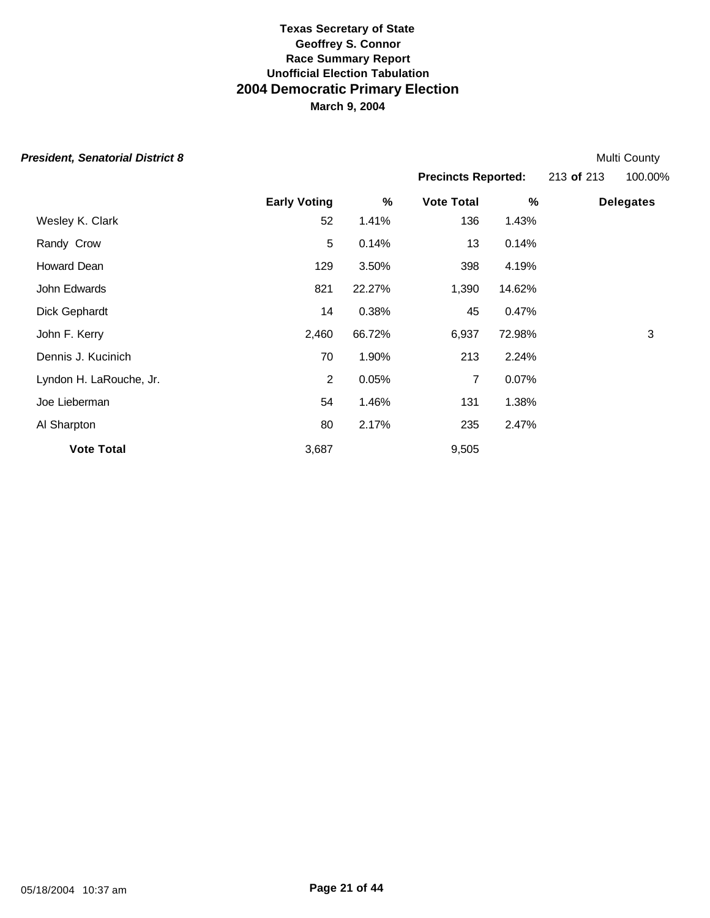Howard Dean 129 3.50% 398 4.19% John Edwards 821 22.27% 1,390 14.62%

Dick Gephardt 14 0.38% 45 0.47%

Dennis J. Kucinich 70 1.90% 213 2.24% Lyndon H. LaRouche, Jr. 2 0.05% 7 0.07% Joe Lieberman 54 1.46% 131 1.38% Al Sharpton 235 2.47%

**Vote Total** 3,687 9,505

| <b>President, Senatorial District 8</b> |                     |       |                            |       |            | <b>Multi County</b> |
|-----------------------------------------|---------------------|-------|----------------------------|-------|------------|---------------------|
|                                         |                     |       | <b>Precincts Reported:</b> |       | 213 of 213 | 100.00%             |
|                                         | <b>Early Voting</b> | %     | <b>Vote Total</b>          | %     |            | <b>Delegates</b>    |
| Wesley K. Clark                         | 52                  | 1.41% | 136                        | 1.43% |            |                     |
| Randy Crow                              |                     | 0.14% | 13                         | 0.14% |            |                     |

John F. Kerry 2,460 66.72% 6,937 72.98% 3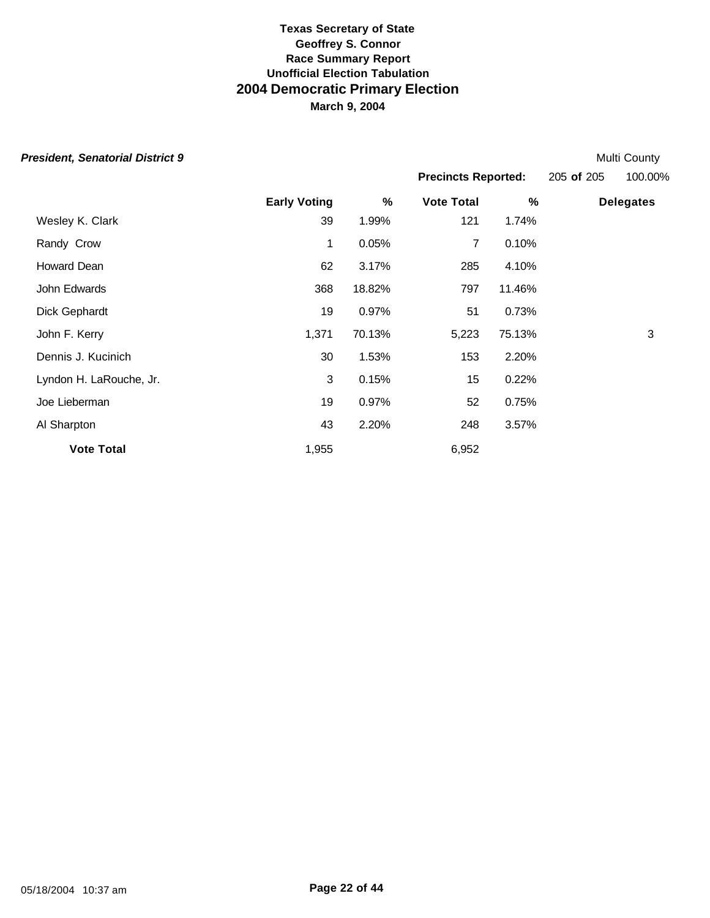|  | President, Senatorial District 9 |  |  |
|--|----------------------------------|--|--|
|--|----------------------------------|--|--|

**Early Voting % Vote Total % Delegates** Wesley K. Clark 39 1.99% 121 1.74% Randy Crow **1** 0.05% 7 0.10% Howard Dean 62 3.17% 285 4.10% John Edwards 368 18.82% 797 11.46% Dick Gephardt 19 0.97% 51 0.73% John F. Kerry 1,371 70.13% 5,223 75.13% 3 Dennis J. Kucinich 30 1.53% 153 2.20% Lyndon H. LaRouche, Jr. (2008) 15 0.22% Joe Lieberman 19 0.97% 52 0.75% Al Sharpton 248 2.20% 248 3.57% **Vote Total** 6,952 **President, Senatorial District 9** Multi County of the Multi County of the Multi County of the Multi County of the Multi County of the Multi County of the Multi County of the Multi County of the Multi County of the Multi C **Precincts Reported:** 205 **of** 205 100.00%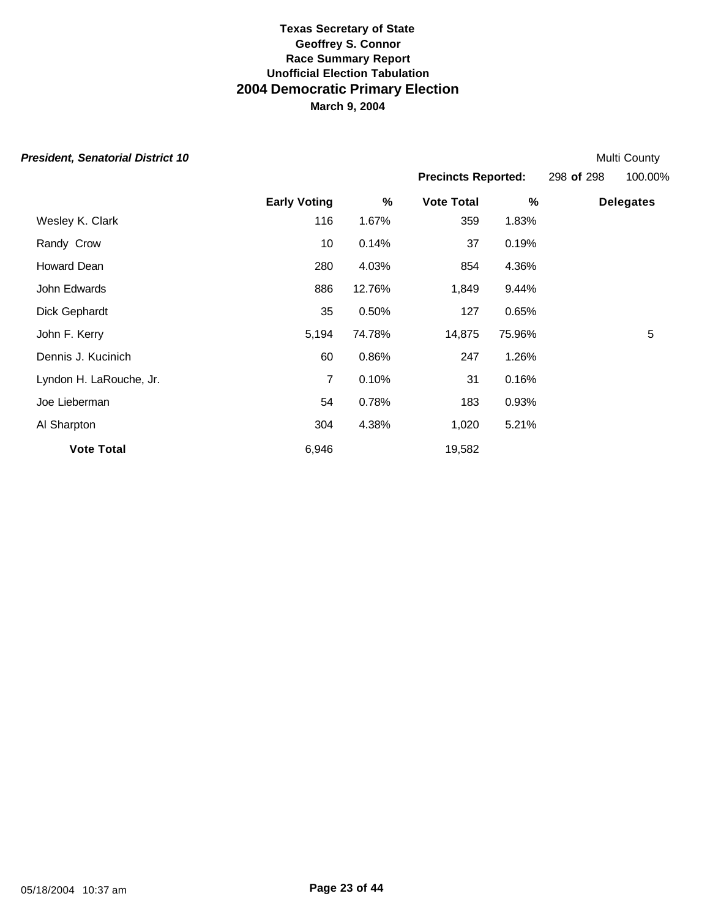|  | President, Senatorial District 10 |  |  |
|--|-----------------------------------|--|--|
|--|-----------------------------------|--|--|

**Multi County Precincts Reported:** 298 **of** 298 100.00%

|                         | <b>Early Voting</b> | %      | <b>Vote Total</b> | %      | <b>Delegates</b> |
|-------------------------|---------------------|--------|-------------------|--------|------------------|
| Wesley K. Clark         | 116                 | 1.67%  | 359               | 1.83%  |                  |
| Randy Crow              | 10                  | 0.14%  | 37                | 0.19%  |                  |
| Howard Dean             | 280                 | 4.03%  | 854               | 4.36%  |                  |
| John Edwards            | 886                 | 12.76% | 1,849             | 9.44%  |                  |
| Dick Gephardt           | 35                  | 0.50%  | 127               | 0.65%  |                  |
| John F. Kerry           | 5,194               | 74.78% | 14,875            | 75.96% | 5                |
| Dennis J. Kucinich      | 60                  | 0.86%  | 247               | 1.26%  |                  |
| Lyndon H. LaRouche, Jr. | 7                   | 0.10%  | 31                | 0.16%  |                  |
| Joe Lieberman           | 54                  | 0.78%  | 183               | 0.93%  |                  |
| Al Sharpton             | 304                 | 4.38%  | 1,020             | 5.21%  |                  |
| <b>Vote Total</b>       | 6,946               |        | 19,582            |        |                  |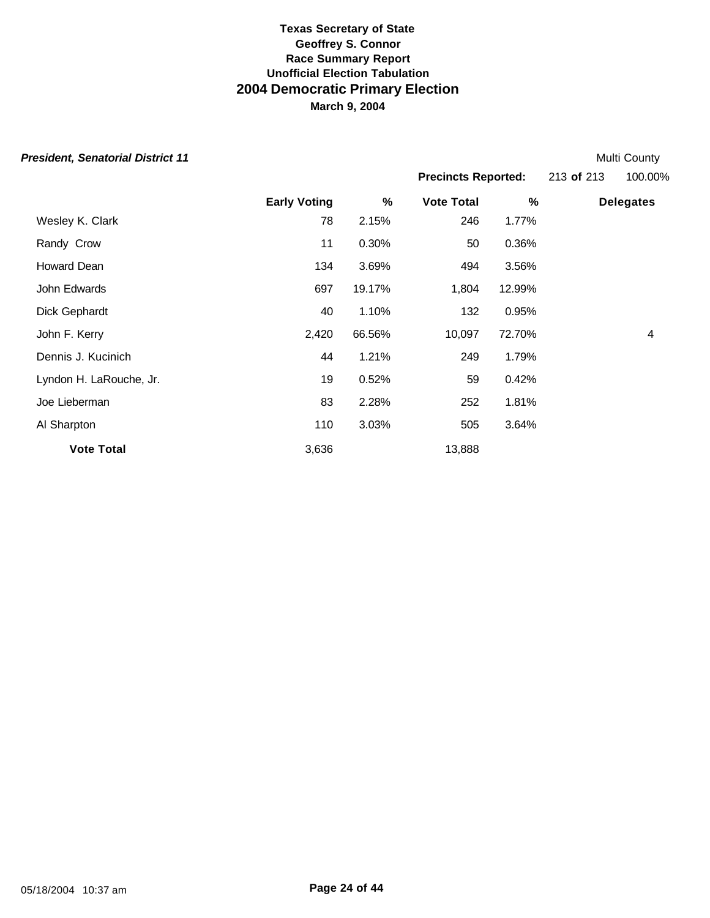| <b>President, Senatorial District 11</b> |                     |        |                            |        |            | Multi County     |
|------------------------------------------|---------------------|--------|----------------------------|--------|------------|------------------|
|                                          |                     |        | <b>Precincts Reported:</b> |        | 213 of 213 | 100.00%          |
|                                          | <b>Early Voting</b> | %      | <b>Vote Total</b>          | %      |            | <b>Delegates</b> |
| Wesley K. Clark                          | 78                  | 2.15%  | 246                        | 1.77%  |            |                  |
| Randy Crow                               | 11                  | 0.30%  | 50                         | 0.36%  |            |                  |
| Howard Dean                              | 134                 | 3.69%  | 494                        | 3.56%  |            |                  |
| John Edwards                             | 697                 | 19.17% | 1,804                      | 12.99% |            |                  |
| Dick Gephardt                            | 40                  | 1.10%  | 132                        | 0.95%  |            |                  |
| John F. Kerry                            | 2,420               | 66.56% | 10,097                     | 72.70% |            | 4                |
| Dennis J. Kucinich                       | 44                  | 1.21%  | 249                        | 1.79%  |            |                  |
| Lyndon H. LaRouche, Jr.                  | 19                  | 0.52%  | 59                         | 0.42%  |            |                  |
| Joe Lieberman                            | 83                  | 2.28%  | 252                        | 1.81%  |            |                  |
| Al Sharpton                              | 110                 | 3.03%  | 505                        | 3.64%  |            |                  |
| <b>Vote Total</b>                        | 3,636               |        | 13,888                     |        |            |                  |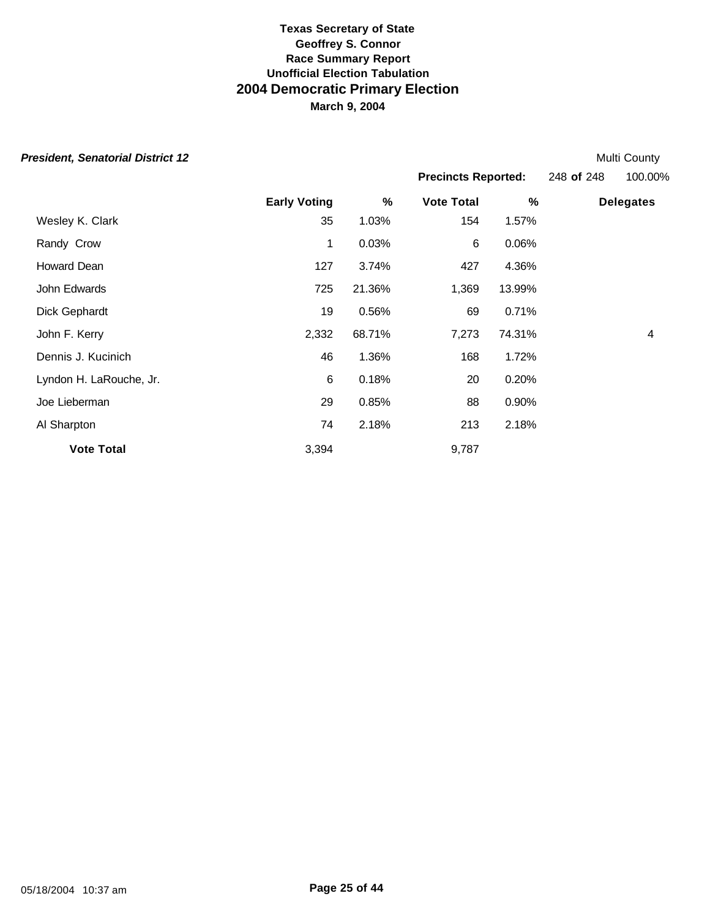|  | President, Senatorial District 12 |  |  |
|--|-----------------------------------|--|--|
|--|-----------------------------------|--|--|

**Multi County Precincts Reported:** 248 **of** 248 100.00%

|                         | <b>Early Voting</b> | $\%$   | <b>Vote Total</b> | $\%$   | <b>Delegates</b> |
|-------------------------|---------------------|--------|-------------------|--------|------------------|
| Wesley K. Clark         | 35                  | 1.03%  | 154               | 1.57%  |                  |
| Randy Crow              | 1                   | 0.03%  | 6                 | 0.06%  |                  |
| Howard Dean             | 127                 | 3.74%  | 427               | 4.36%  |                  |
| John Edwards            | 725                 | 21.36% | 1,369             | 13.99% |                  |
| Dick Gephardt           | 19                  | 0.56%  | 69                | 0.71%  |                  |
| John F. Kerry           | 2,332               | 68.71% | 7,273             | 74.31% | 4                |
| Dennis J. Kucinich      | 46                  | 1.36%  | 168               | 1.72%  |                  |
| Lyndon H. LaRouche, Jr. | 6                   | 0.18%  | 20                | 0.20%  |                  |
| Joe Lieberman           | 29                  | 0.85%  | 88                | 0.90%  |                  |
| Al Sharpton             | 74                  | 2.18%  | 213               | 2.18%  |                  |
| <b>Vote Total</b>       | 3,394               |        | 9,787             |        |                  |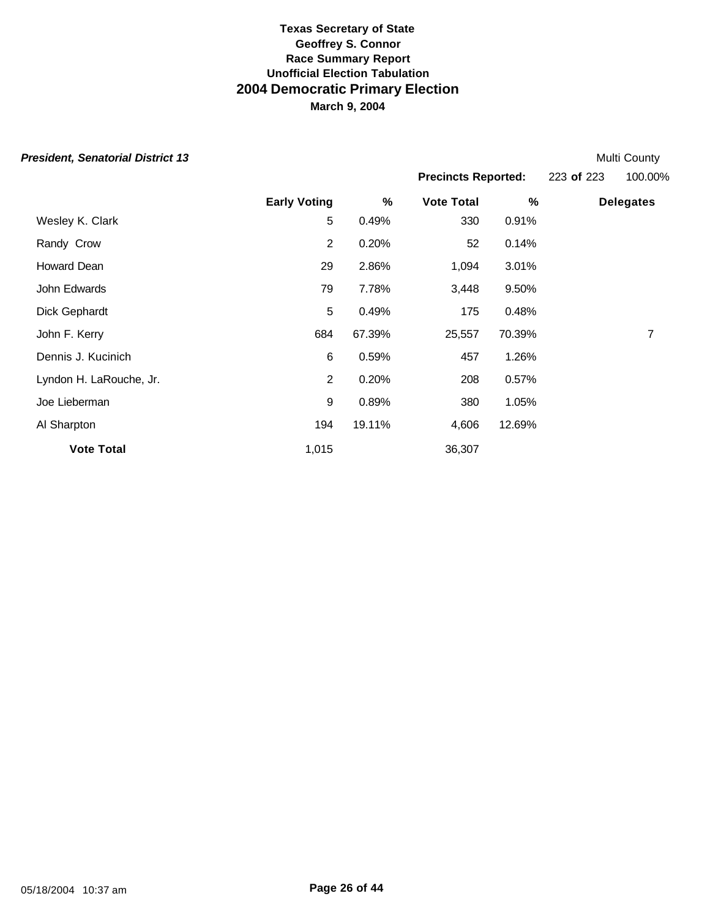|  | President, Senatorial District 13 |  |  |
|--|-----------------------------------|--|--|
|--|-----------------------------------|--|--|

| <b>President, Senatorial District 13</b> |                     |   |                            |   |            | Multi County     |
|------------------------------------------|---------------------|---|----------------------------|---|------------|------------------|
|                                          |                     |   | <b>Precincts Reported:</b> |   | 223 of 223 | 100.00%          |
|                                          | <b>Early Voting</b> | % | <b>Vote Total</b>          | % |            | <b>Delegates</b> |

| <b>Vote Total</b>       | 1,015          |        | 36,307 |        |   |
|-------------------------|----------------|--------|--------|--------|---|
| Al Sharpton             | 194            | 19.11% | 4,606  | 12.69% |   |
| Joe Lieberman           | 9              | 0.89%  | 380    | 1.05%  |   |
| Lyndon H. LaRouche, Jr. | 2              | 0.20%  | 208    | 0.57%  |   |
| Dennis J. Kucinich      | 6              | 0.59%  | 457    | 1.26%  |   |
| John F. Kerry           | 684            | 67.39% | 25,557 | 70.39% | 7 |
| Dick Gephardt           | 5              | 0.49%  | 175    | 0.48%  |   |
| John Edwards            | 79             | 7.78%  | 3,448  | 9.50%  |   |
| Howard Dean             | 29             | 2.86%  | 1,094  | 3.01%  |   |
| Randy Crow              | $\overline{2}$ | 0.20%  | 52     | 0.14%  |   |
| Wesley K. Clark         | 5              | 0.49%  | 330    | 0.91%  |   |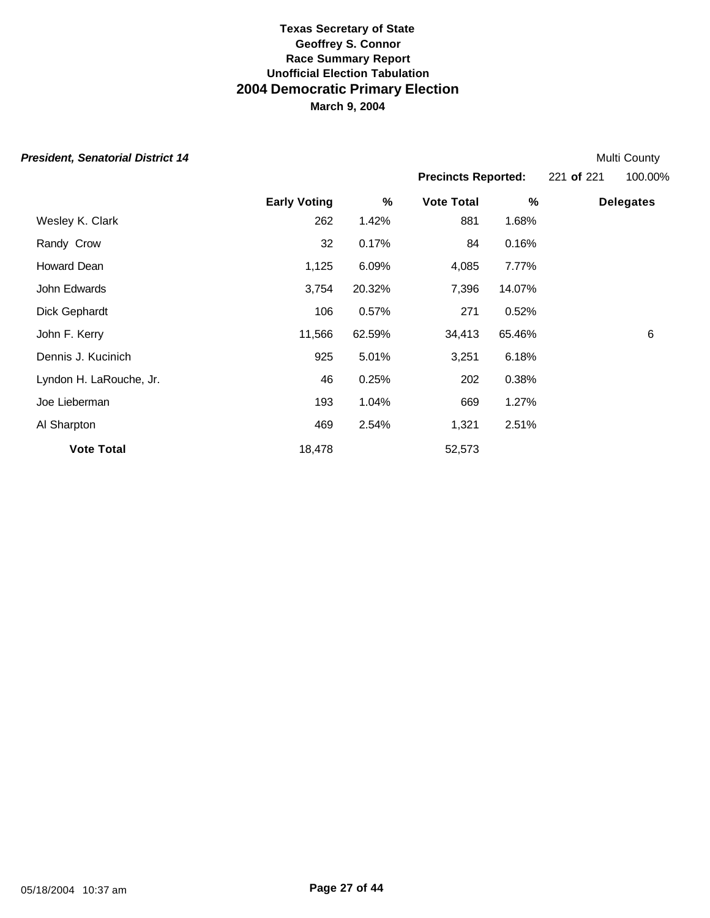|  |  | President, Senatorial District 14 |  |
|--|--|-----------------------------------|--|
|--|--|-----------------------------------|--|

**Multi County** 

|                         |                     |        |                   | <b>Precincts Reported:</b> |  | 100.00%          |
|-------------------------|---------------------|--------|-------------------|----------------------------|--|------------------|
|                         | <b>Early Voting</b> | %      | <b>Vote Total</b> | %                          |  | <b>Delegates</b> |
| Wesley K. Clark         | 262                 | 1.42%  | 881               | 1.68%                      |  |                  |
| Randy Crow              | 32                  | 0.17%  | 84                | 0.16%                      |  |                  |
| Howard Dean             | 1,125               | 6.09%  | 4,085             | 7.77%                      |  |                  |
| John Edwards            | 3,754               | 20.32% | 7,396             | 14.07%                     |  |                  |
| Dick Gephardt           | 106                 | 0.57%  | 271               | 0.52%                      |  |                  |
| John F. Kerry           | 11,566              | 62.59% | 34,413            | 65.46%                     |  | 6                |
| Dennis J. Kucinich      | 925                 | 5.01%  | 3,251             | 6.18%                      |  |                  |
| Lyndon H. LaRouche, Jr. | 46                  | 0.25%  | 202               | 0.38%                      |  |                  |
| Joe Lieberman           | 193                 | 1.04%  | 669               | 1.27%                      |  |                  |
| Al Sharpton             | 469                 | 2.54%  | 1,321             | 2.51%                      |  |                  |
| <b>Vote Total</b>       | 18,478              |        | 52,573            |                            |  |                  |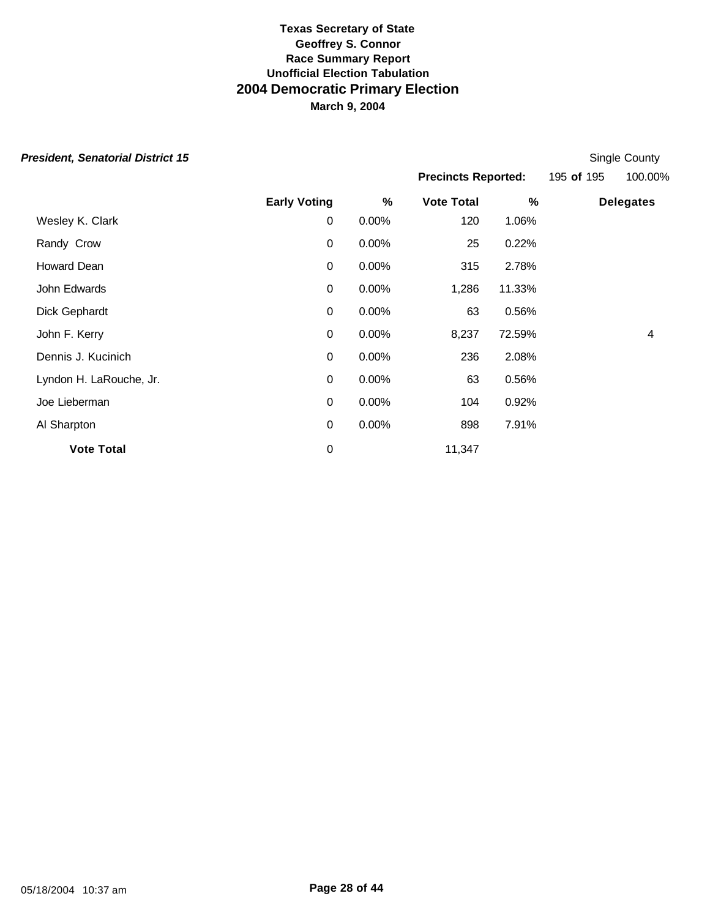| President, Senatorial District 15 |  |  |  |
|-----------------------------------|--|--|--|
|-----------------------------------|--|--|--|

**Early Voting % Vote Total % Delegates** Wesley K. Clark **120** 1.06% Randy Crow **25 0.22% 0 0.00%** 25 0.22% Howard Dean 0 0.00% 315 2.78% John Edwards 0 0.00% 1,286 11.33% Dick Gephardt 0 0.00% 63 0.56% John F. Kerry 0 0.00% 8,237 72.59% 4 Dennis J. Kucinich 0 0.00% 236 2.08% Lyndon H. LaRouche, Jr. 0 0.00% 63 0.56% Joe Lieberman 0 0.00% 104 0.92% Al Sharpton **898 1919** 10 0.00% 898 1.91% **Vote Total** 0 11,347 **Single County Precincts Reported:** 195 **of** 195 100.00%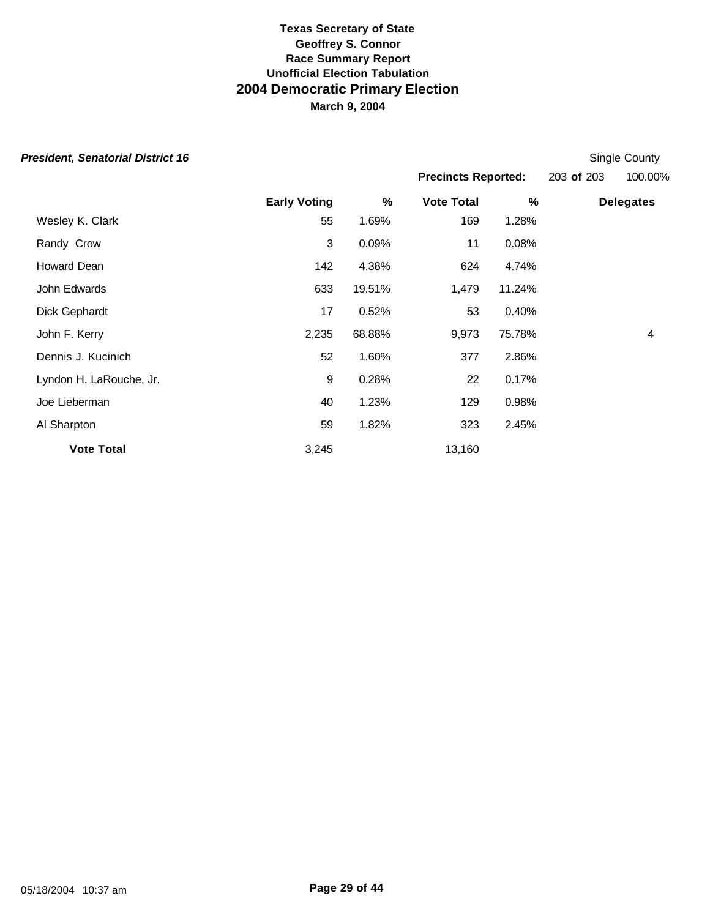| President, Senatorial District 16 |  |  |  |
|-----------------------------------|--|--|--|
|-----------------------------------|--|--|--|

**Single County Precincts Reported:** 203 **of** 203 100.00%

|                         | <b>Early Voting</b> | %      | <b>Vote Total</b> | %      | <b>Delegates</b> |
|-------------------------|---------------------|--------|-------------------|--------|------------------|
| Wesley K. Clark         | 55                  | 1.69%  | 169               | 1.28%  |                  |
| Randy Crow              | 3                   | 0.09%  | 11                | 0.08%  |                  |
| Howard Dean             | 142                 | 4.38%  | 624               | 4.74%  |                  |
| John Edwards            | 633                 | 19.51% | 1,479             | 11.24% |                  |
| Dick Gephardt           | 17                  | 0.52%  | 53                | 0.40%  |                  |
| John F. Kerry           | 2,235               | 68.88% | 9,973             | 75.78% | 4                |
| Dennis J. Kucinich      | 52                  | 1.60%  | 377               | 2.86%  |                  |
| Lyndon H. LaRouche, Jr. | $9\,$               | 0.28%  | 22                | 0.17%  |                  |
| Joe Lieberman           | 40                  | 1.23%  | 129               | 0.98%  |                  |
| Al Sharpton             | 59                  | 1.82%  | 323               | 2.45%  |                  |
| <b>Vote Total</b>       | 3,245               |        | 13,160            |        |                  |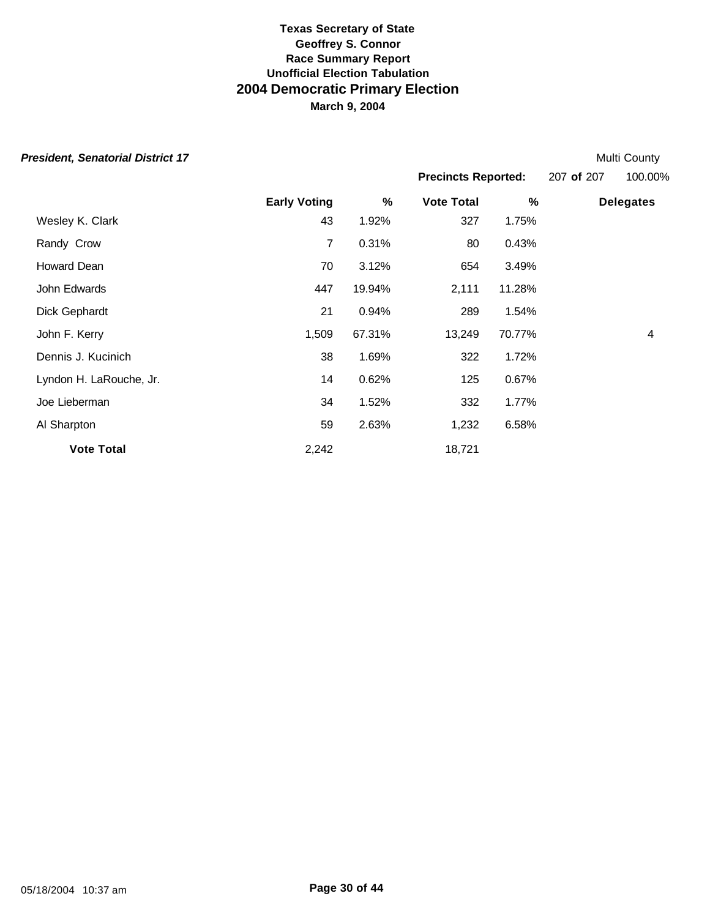|  |  | President, Senatorial District 17 |  |
|--|--|-----------------------------------|--|
|--|--|-----------------------------------|--|

**Multi County Precincts Reported:** 207 **of** 207 100.00%

|                         | <b>Early Voting</b> | $\%$   | <b>Vote Total</b> | %      | <b>Delegates</b> |
|-------------------------|---------------------|--------|-------------------|--------|------------------|
| Wesley K. Clark         | 43                  | 1.92%  | 327               | 1.75%  |                  |
| Randy Crow              | 7                   | 0.31%  | 80                | 0.43%  |                  |
| Howard Dean             | 70                  | 3.12%  | 654               | 3.49%  |                  |
| John Edwards            | 447                 | 19.94% | 2,111             | 11.28% |                  |
| Dick Gephardt           | 21                  | 0.94%  | 289               | 1.54%  |                  |
| John F. Kerry           | 1,509               | 67.31% | 13,249            | 70.77% | 4                |
| Dennis J. Kucinich      | 38                  | 1.69%  | 322               | 1.72%  |                  |
| Lyndon H. LaRouche, Jr. | 14                  | 0.62%  | 125               | 0.67%  |                  |
| Joe Lieberman           | 34                  | 1.52%  | 332               | 1.77%  |                  |
| Al Sharpton             | 59                  | 2.63%  | 1,232             | 6.58%  |                  |
| <b>Vote Total</b>       | 2,242               |        | 18,721            |        |                  |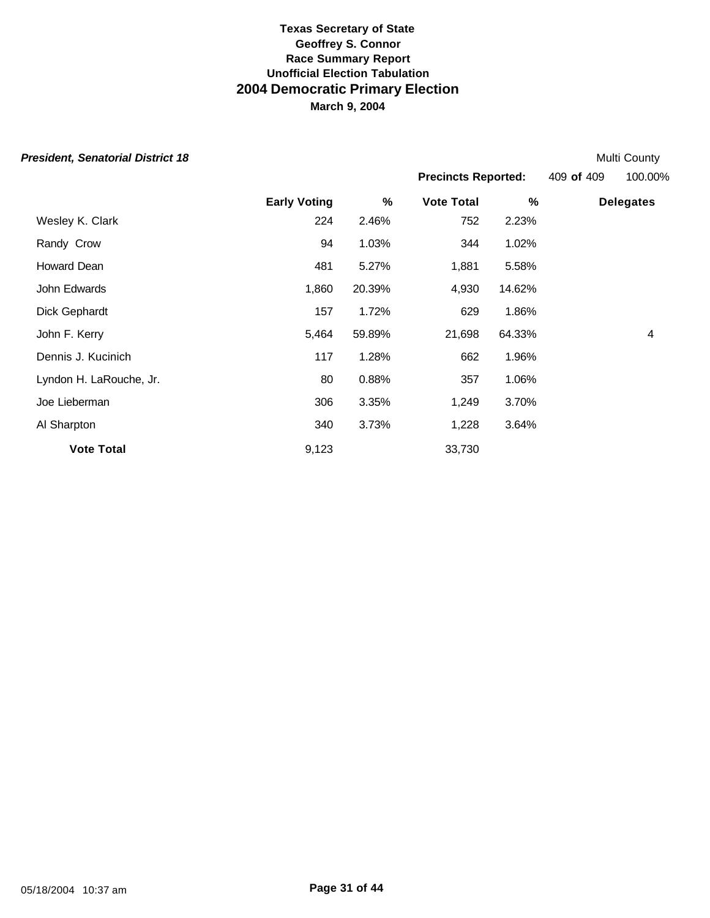|  | President, Senatorial District 18 |  |  |
|--|-----------------------------------|--|--|
|--|-----------------------------------|--|--|

**Multi County Precincts Reported:** 409 **of** 409 100.00%

|                         | <b>Early Voting</b> | $\%$   | <b>Vote Total</b> | %      | <b>Delegates</b> |
|-------------------------|---------------------|--------|-------------------|--------|------------------|
| Wesley K. Clark         | 224                 | 2.46%  | 752               | 2.23%  |                  |
| Randy Crow              | 94                  | 1.03%  | 344               | 1.02%  |                  |
| Howard Dean             | 481                 | 5.27%  | 1,881             | 5.58%  |                  |
| John Edwards            | 1,860               | 20.39% | 4,930             | 14.62% |                  |
| Dick Gephardt           | 157                 | 1.72%  | 629               | 1.86%  |                  |
| John F. Kerry           | 5,464               | 59.89% | 21,698            | 64.33% | 4                |
| Dennis J. Kucinich      | 117                 | 1.28%  | 662               | 1.96%  |                  |
| Lyndon H. LaRouche, Jr. | 80                  | 0.88%  | 357               | 1.06%  |                  |
| Joe Lieberman           | 306                 | 3.35%  | 1,249             | 3.70%  |                  |
| Al Sharpton             | 340                 | 3.73%  | 1,228             | 3.64%  |                  |
| <b>Vote Total</b>       | 9,123               |        | 33,730            |        |                  |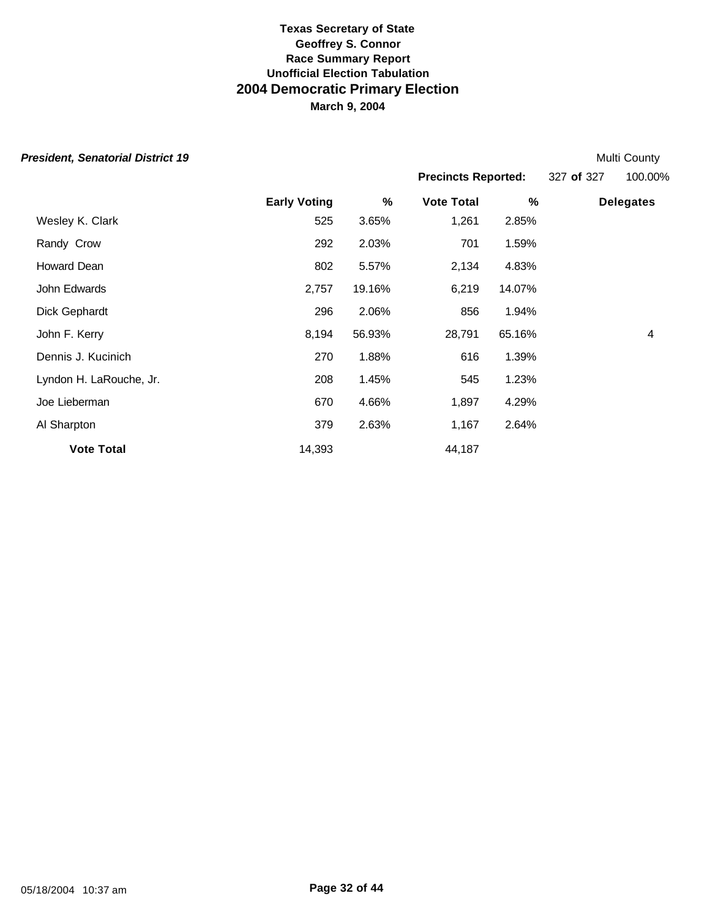| <b>President, Senatorial District 19</b> |                     |        |                            |        |            | Multi County     |
|------------------------------------------|---------------------|--------|----------------------------|--------|------------|------------------|
|                                          |                     |        | <b>Precincts Reported:</b> |        | 327 of 327 | 100.00%          |
|                                          | <b>Early Voting</b> | %      | <b>Vote Total</b>          | %      |            | <b>Delegates</b> |
| Wesley K. Clark                          | 525                 | 3.65%  | 1,261                      | 2.85%  |            |                  |
| Randy Crow                               | 292                 | 2.03%  | 701                        | 1.59%  |            |                  |
| Howard Dean                              | 802                 | 5.57%  | 2,134                      | 4.83%  |            |                  |
| John Edwards                             | 2,757               | 19.16% | 6,219                      | 14.07% |            |                  |
| Dick Gephardt                            | 296                 | 2.06%  | 856                        | 1.94%  |            |                  |
| John F. Kerry                            | 8,194               | 56.93% | 28,791                     | 65.16% |            | 4                |
| Dennis J. Kucinich                       | 270                 | 1.88%  | 616                        | 1.39%  |            |                  |
| Lyndon H. LaRouche, Jr.                  | 208                 | 1.45%  | 545                        | 1.23%  |            |                  |
| Joe Lieberman                            | 670                 | 4.66%  | 1,897                      | 4.29%  |            |                  |
| Al Sharpton                              | 379                 | 2.63%  | 1,167                      | 2.64%  |            |                  |
| <b>Vote Total</b>                        | 14,393              |        | 44,187                     |        |            |                  |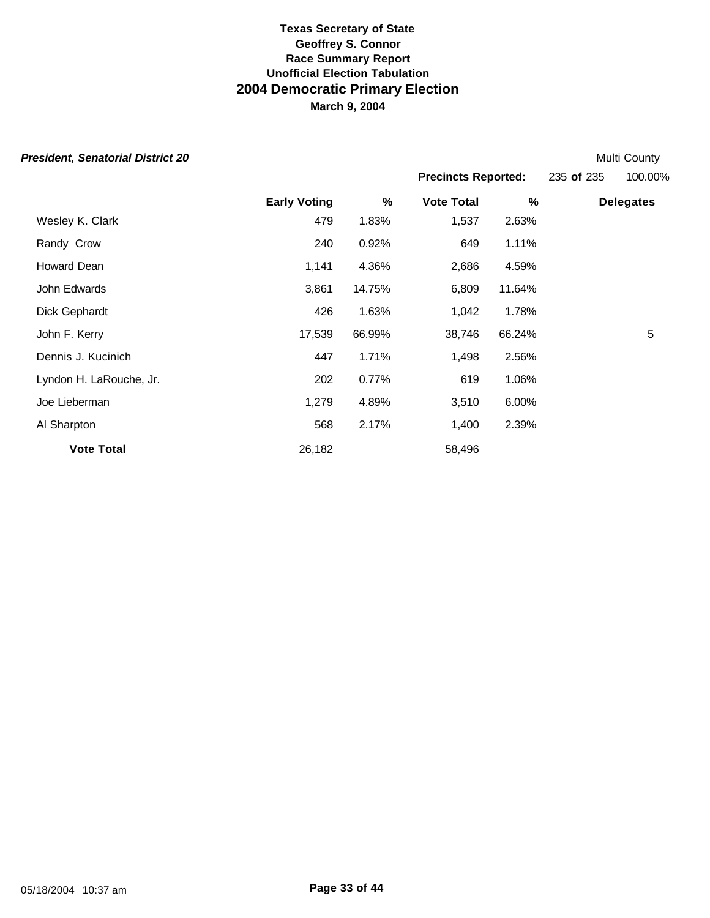|  | President, Senatorial District 20 |  |  |
|--|-----------------------------------|--|--|
|--|-----------------------------------|--|--|

| <b>President, Senatorial District 20</b> |                     |        |                            |        |            | Multi County     |
|------------------------------------------|---------------------|--------|----------------------------|--------|------------|------------------|
|                                          |                     |        | <b>Precincts Reported:</b> |        | 235 of 235 | 100.00%          |
|                                          | <b>Early Voting</b> | %      | <b>Vote Total</b>          | %      |            | <b>Delegates</b> |
| Wesley K. Clark                          | 479                 | 1.83%  | 1,537                      | 2.63%  |            |                  |
| Randy Crow                               | 240                 | 0.92%  | 649                        | 1.11%  |            |                  |
| Howard Dean                              | 1,141               | 4.36%  | 2,686                      | 4.59%  |            |                  |
| John Edwards                             | 3,861               | 14.75% | 6,809                      | 11.64% |            |                  |
| Dick Gephardt                            | 426                 | 1.63%  | 1,042                      | 1.78%  |            |                  |
| John F. Kerry                            | 17,539              | 66.99% | 38,746                     | 66.24% |            | 5                |
| Dennis J. Kucinich                       | 447                 | 1.71%  | 1,498                      | 2.56%  |            |                  |
| Lyndon H. LaRouche, Jr.                  | 202                 | 0.77%  | 619                        | 1.06%  |            |                  |
| Joe Lieberman                            | 1,279               | 4.89%  | 3,510                      | 6.00%  |            |                  |
| Al Sharpton                              | 568                 | 2.17%  | 1,400                      | 2.39%  |            |                  |
| <b>Vote Total</b>                        | 26,182              |        | 58,496                     |        |            |                  |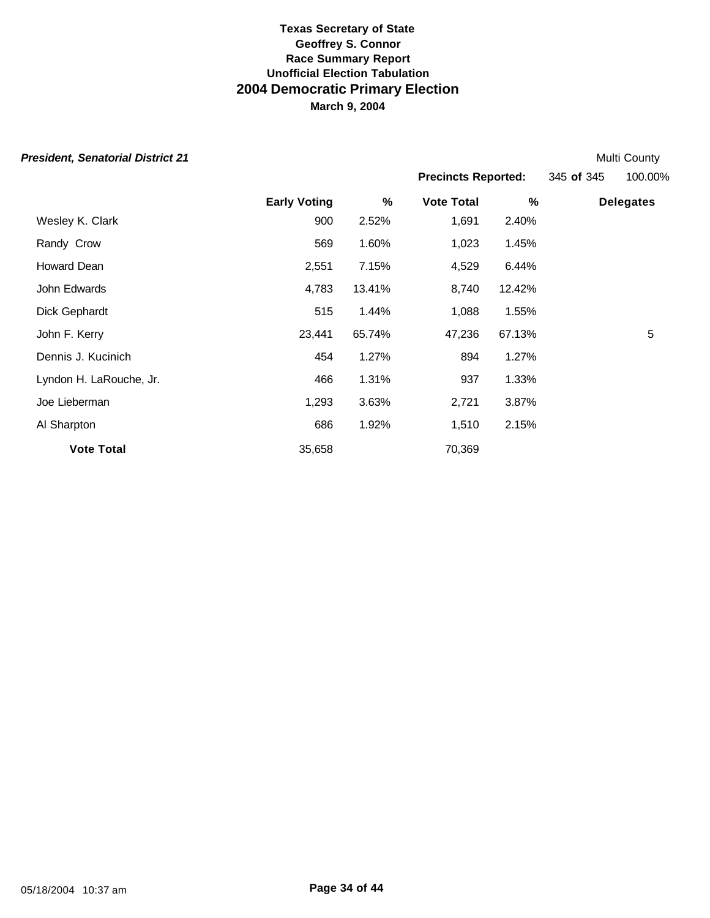**President, Senatorial District 21** Multi County

**Precincts Reported:** 345 **of** 345 100.00%

|                     |        | <b>Precincts Reported:</b> |        | 345 of 345 | 100.00           |  |
|---------------------|--------|----------------------------|--------|------------|------------------|--|
| <b>Early Voting</b> | %      | <b>Vote Total</b>          | %      |            | <b>Delegates</b> |  |
| 900                 | 2.52%  | 1,691                      | 2.40%  |            |                  |  |
| 569                 | 1.60%  | 1,023                      | 1.45%  |            |                  |  |
| 2,551               | 7.15%  | 4,529                      | 6.44%  |            |                  |  |
| 4,783               | 13.41% | 8,740                      | 12.42% |            |                  |  |
| 515                 | 1.44%  | 1,088                      | 1.55%  |            |                  |  |
| 23,441              | 65.74% | 47,236                     | 67.13% |            | 5                |  |
| 454                 | 1.27%  | 894                        | 1.27%  |            |                  |  |
| 466                 | 1.31%  | 937                        | 1.33%  |            |                  |  |
| 1,293               | 3.63%  | 2,721                      | 3.87%  |            |                  |  |
| 686                 | 1.92%  | 1,510                      | 2.15%  |            |                  |  |
| 35,658              |        | 70,369                     |        |            |                  |  |
|                     |        |                            |        |            |                  |  |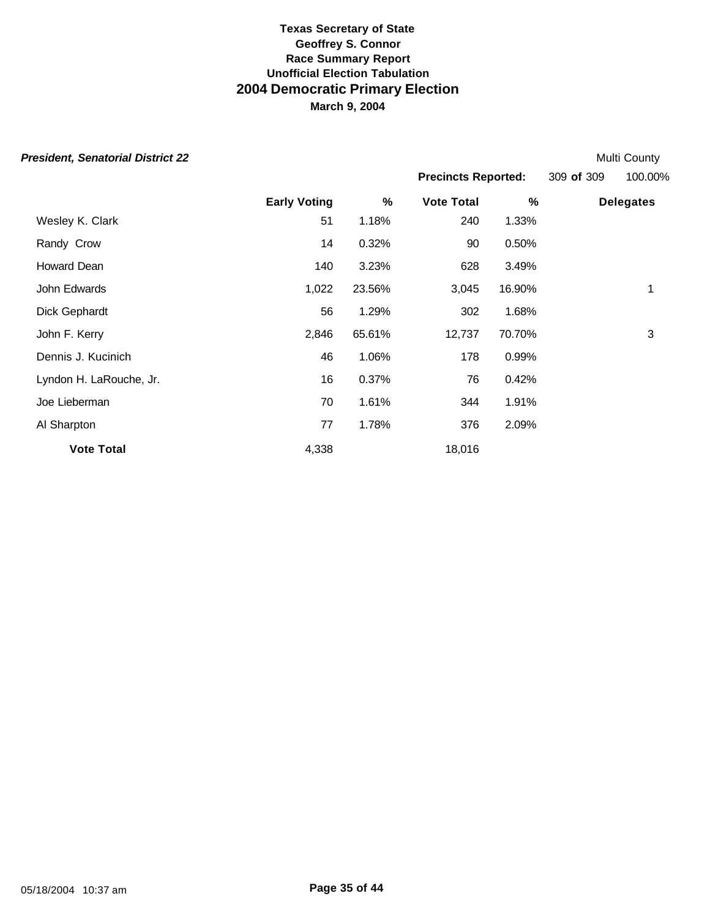| <b>President, Senatorial District 22</b> |                     |        |                            |        |            | Multi County     |
|------------------------------------------|---------------------|--------|----------------------------|--------|------------|------------------|
|                                          |                     |        | <b>Precincts Reported:</b> |        | 309 of 309 | 100.00%          |
|                                          | <b>Early Voting</b> | %      | <b>Vote Total</b>          | %      |            | <b>Delegates</b> |
| Wesley K. Clark                          | 51                  | 1.18%  | 240                        | 1.33%  |            |                  |
| Randy Crow                               | 14                  | 0.32%  | 90                         | 0.50%  |            |                  |
| Howard Dean                              | 140                 | 3.23%  | 628                        | 3.49%  |            |                  |
| John Edwards                             | 1,022               | 23.56% | 3,045                      | 16.90% |            | 1                |
| Dick Gephardt                            | 56                  | 1.29%  | 302                        | 1.68%  |            |                  |
| John F. Kerry                            | 2,846               | 65.61% | 12,737                     | 70.70% |            | 3                |
| Dennis J. Kucinich                       | 46                  | 1.06%  | 178                        | 0.99%  |            |                  |
| Lyndon H. LaRouche, Jr.                  | 16                  | 0.37%  | 76                         | 0.42%  |            |                  |
| Joe Lieberman                            | 70                  | 1.61%  | 344                        | 1.91%  |            |                  |
| Al Sharpton                              | 77                  | 1.78%  | 376                        | 2.09%  |            |                  |
| <b>Vote Total</b>                        | 4,338               |        | 18,016                     |        |            |                  |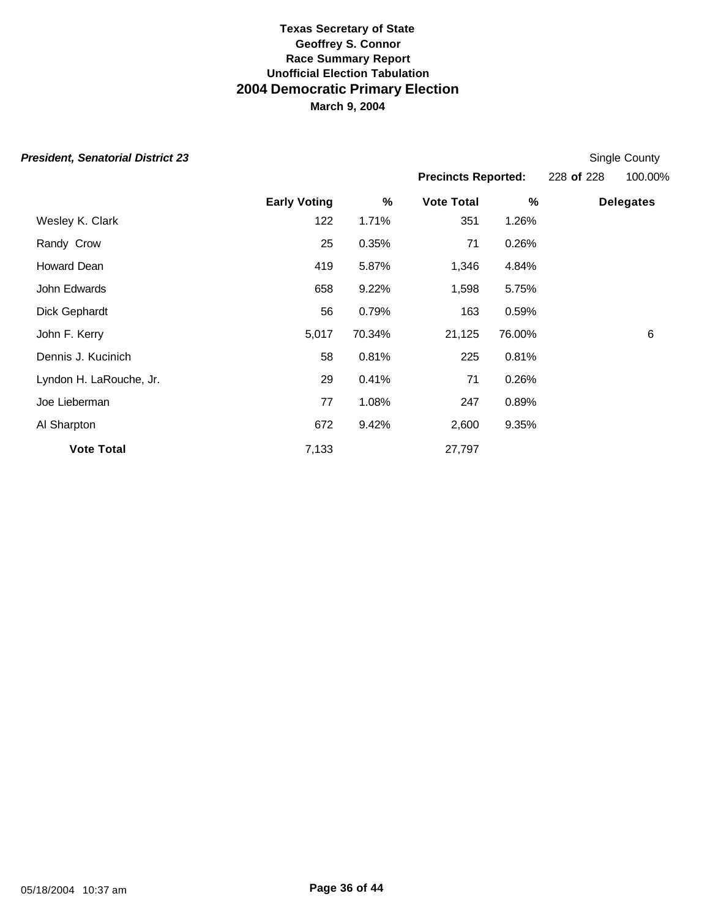| <b>President, Senatorial District 23</b> |                     |        |                            |        |            | Single County    |
|------------------------------------------|---------------------|--------|----------------------------|--------|------------|------------------|
|                                          |                     |        | <b>Precincts Reported:</b> |        | 228 of 228 | 100.00%          |
|                                          | <b>Early Voting</b> | $\%$   | <b>Vote Total</b>          | $\%$   |            | <b>Delegates</b> |
| Wesley K. Clark                          | 122                 | 1.71%  | 351                        | 1.26%  |            |                  |
| Randy Crow                               | 25                  | 0.35%  | 71                         | 0.26%  |            |                  |
| Howard Dean                              | 419                 | 5.87%  | 1,346                      | 4.84%  |            |                  |
| John Edwards                             | 658                 | 9.22%  | 1,598                      | 5.75%  |            |                  |
| Dick Gephardt                            | 56                  | 0.79%  | 163                        | 0.59%  |            |                  |
| John F. Kerry                            | 5,017               | 70.34% | 21,125                     | 76.00% |            | 6                |
| Dennis J. Kucinich                       | 58                  | 0.81%  | 225                        | 0.81%  |            |                  |
| Lyndon H. LaRouche, Jr.                  | 29                  | 0.41%  | 71                         | 0.26%  |            |                  |
| Joe Lieberman                            | 77                  | 1.08%  | 247                        | 0.89%  |            |                  |
| Al Sharpton                              | 672                 | 9.42%  | 2,600                      | 9.35%  |            |                  |
| <b>Vote Total</b>                        | 7,133               |        | 27,797                     |        |            |                  |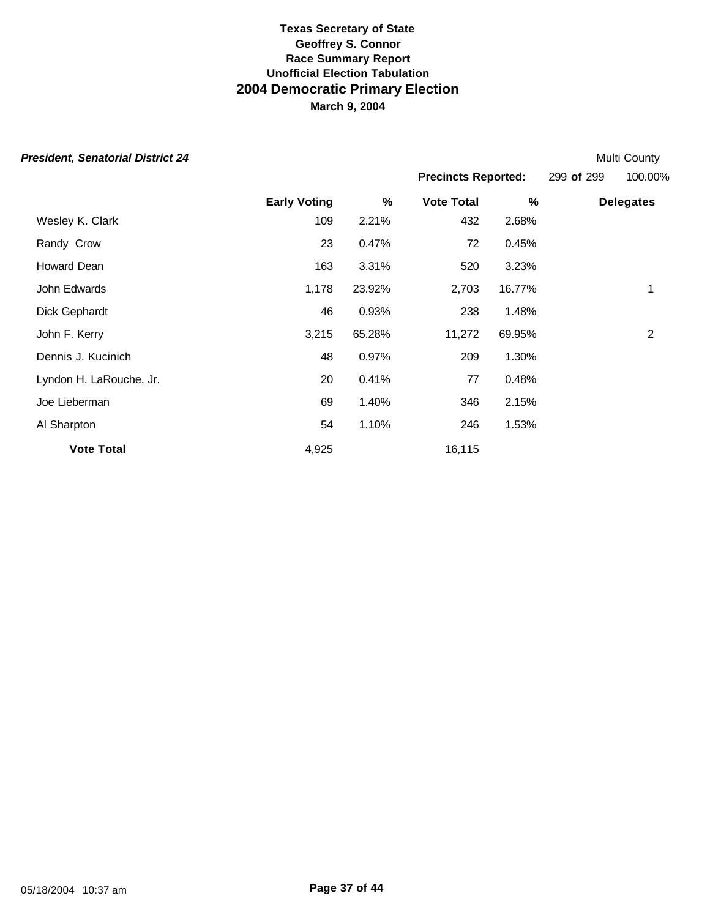| <b>President, Senatorial District 24</b> |                     |        |                   |                            |  | Multi County     |
|------------------------------------------|---------------------|--------|-------------------|----------------------------|--|------------------|
|                                          |                     |        |                   | <b>Precincts Reported:</b> |  | 100.00%          |
|                                          | <b>Early Voting</b> | %      | <b>Vote Total</b> | %                          |  | <b>Delegates</b> |
| Wesley K. Clark                          | 109                 | 2.21%  | 432               | 2.68%                      |  |                  |
| Randy Crow                               | 23                  | 0.47%  | 72                | 0.45%                      |  |                  |
| Howard Dean                              | 163                 | 3.31%  | 520               | 3.23%                      |  |                  |
| John Edwards                             | 1,178               | 23.92% | 2,703             | 16.77%                     |  | 1                |
| Dick Gephardt                            | 46                  | 0.93%  | 238               | 1.48%                      |  |                  |
| John F. Kerry                            | 3,215               | 65.28% | 11,272            | 69.95%                     |  | $\overline{2}$   |
| Dennis J. Kucinich                       | 48                  | 0.97%  | 209               | 1.30%                      |  |                  |
| Lyndon H. LaRouche, Jr.                  | 20                  | 0.41%  | 77                | 0.48%                      |  |                  |
| Joe Lieberman                            | 69                  | 1.40%  | 346               | 2.15%                      |  |                  |
| Al Sharpton                              | 54                  | 1.10%  | 246               | 1.53%                      |  |                  |
| <b>Vote Total</b>                        | 4,925               |        | 16,115            |                            |  |                  |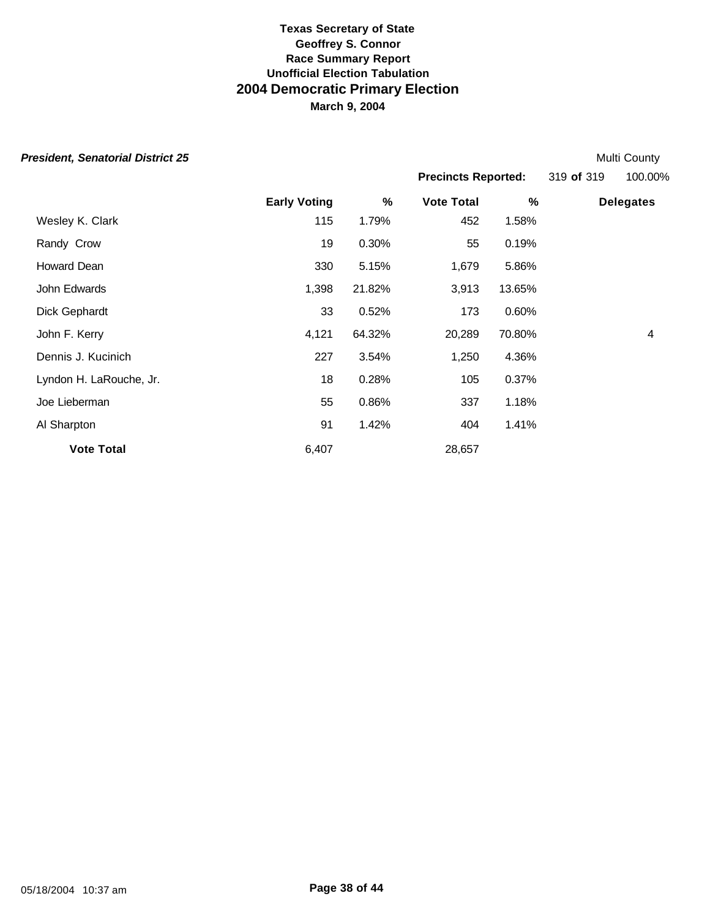| <b>President, Senatorial District 25</b> | <b>Multi County</b> |
|------------------------------------------|---------------------|
|------------------------------------------|---------------------|

|                            |            | <b>Multi County</b> |
|----------------------------|------------|---------------------|
| <b>Precincts Reported:</b> | 319 of 319 | 100.00%             |

|                         | <b>Early Voting</b> | %      | <b>Vote Total</b> | %      | <b>Delegates</b> |
|-------------------------|---------------------|--------|-------------------|--------|------------------|
| Wesley K. Clark         | 115                 | 1.79%  | 452               | 1.58%  |                  |
| Randy Crow              | 19                  | 0.30%  | 55                | 0.19%  |                  |
| Howard Dean             | 330                 | 5.15%  | 1,679             | 5.86%  |                  |
| John Edwards            | 1,398               | 21.82% | 3,913             | 13.65% |                  |
| Dick Gephardt           | 33                  | 0.52%  | 173               | 0.60%  |                  |
| John F. Kerry           | 4,121               | 64.32% | 20,289            | 70.80% | 4                |
| Dennis J. Kucinich      | 227                 | 3.54%  | 1,250             | 4.36%  |                  |
| Lyndon H. LaRouche, Jr. | 18                  | 0.28%  | 105               | 0.37%  |                  |
| Joe Lieberman           | 55                  | 0.86%  | 337               | 1.18%  |                  |
| Al Sharpton             | 91                  | 1.42%  | 404               | 1.41%  |                  |
| <b>Vote Total</b>       | 6,407               |        | 28,657            |        |                  |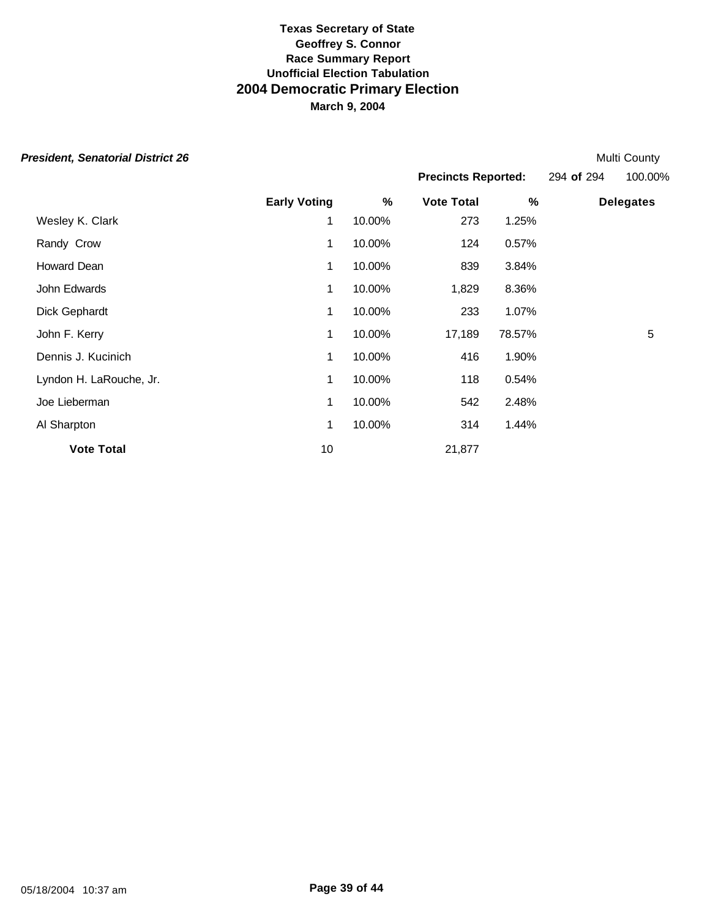**Early Voting % Vote Total % Delegates** Wesley K. Clark 1 10.00% 273 1.25% Randy Crow **1 10.00%** 124 0.57% Howard Dean 1 10.00% 839 3.84% John Edwards 1 10.00% 1,829 8.36% Dick Gephardt 1 10.00% 233 1.07% John F. Kerry 1 10.00% 17,189 78.57% 5 Dennis J. Kucinich 1 10.00% 416 1.90% Lyndon H. LaRouche, Jr. 1 10.00% 118 0.54% Joe Lieberman 1 10.00% 542 2.48% Al Sharpton 1 10.00% 314 1.44% **Vote Total** 21,877 **President, Senatorial District 26** Multi County **County Act 26** Multi County **Multi County Multi County Precincts Reported:** 294 **of** 294 100.00%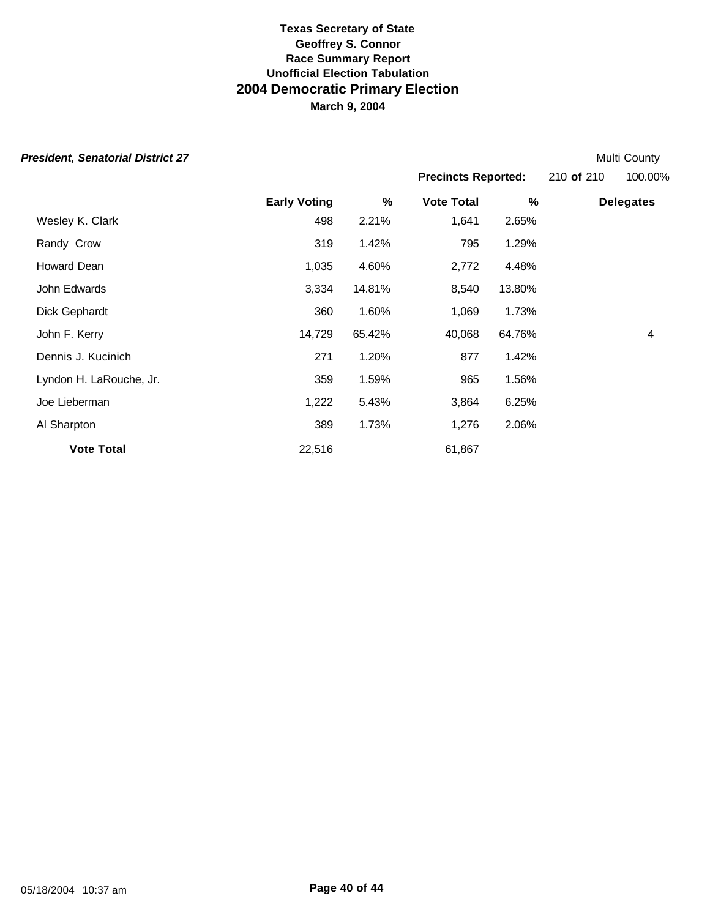|  |  | President, Senatorial District 27 |
|--|--|-----------------------------------|
|--|--|-----------------------------------|

**Multi County Precincts Reported:** 210 **of** 210 100.00%

|                         | <b>Early Voting</b> | $\frac{9}{6}$ | <b>Vote Total</b> | $\%$   | <b>Delegates</b> |
|-------------------------|---------------------|---------------|-------------------|--------|------------------|
| Wesley K. Clark         | 498                 | 2.21%         | 1,641             | 2.65%  |                  |
| Randy Crow              | 319                 | 1.42%         | 795               | 1.29%  |                  |
| Howard Dean             | 1,035               | 4.60%         | 2,772             | 4.48%  |                  |
| John Edwards            | 3,334               | 14.81%        | 8,540             | 13.80% |                  |
| Dick Gephardt           | 360                 | 1.60%         | 1,069             | 1.73%  |                  |
| John F. Kerry           | 14,729              | 65.42%        | 40,068            | 64.76% | 4                |
| Dennis J. Kucinich      | 271                 | 1.20%         | 877               | 1.42%  |                  |
| Lyndon H. LaRouche, Jr. | 359                 | 1.59%         | 965               | 1.56%  |                  |
| Joe Lieberman           | 1,222               | 5.43%         | 3,864             | 6.25%  |                  |
| Al Sharpton             | 389                 | 1.73%         | 1,276             | 2.06%  |                  |
| <b>Vote Total</b>       | 22,516              |               | 61,867            |        |                  |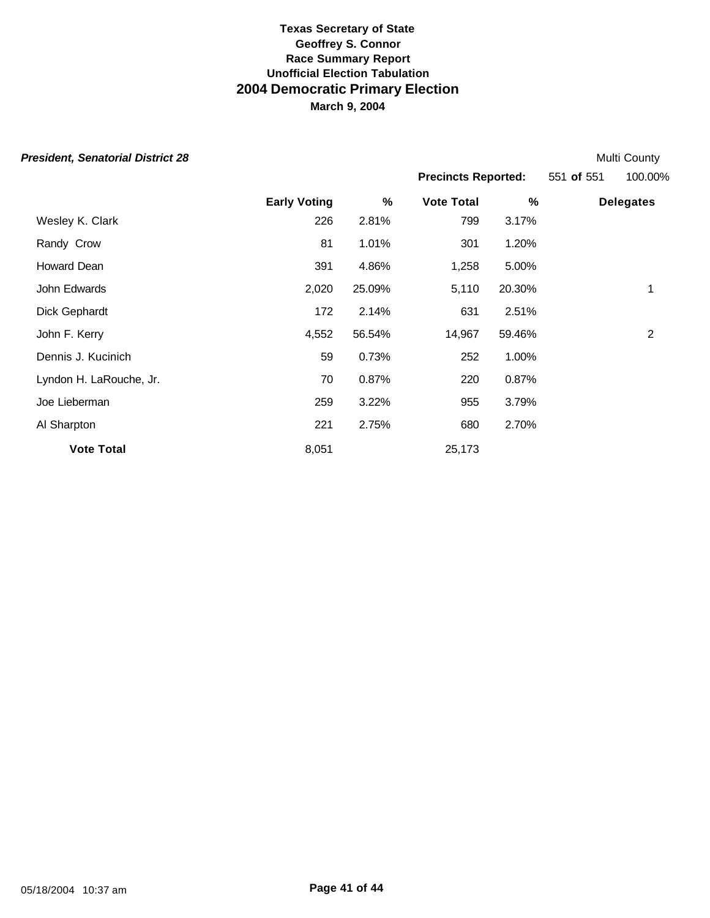| <b>President, Senatorial District 28</b> |                     |        |                   |                            |  | Multi County     |
|------------------------------------------|---------------------|--------|-------------------|----------------------------|--|------------------|
|                                          |                     |        |                   | <b>Precincts Reported:</b> |  | 100.00%          |
|                                          | <b>Early Voting</b> | %      | <b>Vote Total</b> | %                          |  | <b>Delegates</b> |
| Wesley K. Clark                          | 226                 | 2.81%  | 799               | 3.17%                      |  |                  |
| Randy Crow                               | 81                  | 1.01%  | 301               | 1.20%                      |  |                  |
| Howard Dean                              | 391                 | 4.86%  | 1,258             | 5.00%                      |  |                  |
| John Edwards                             | 2,020               | 25.09% | 5,110             | 20.30%                     |  | 1                |
| Dick Gephardt                            | 172                 | 2.14%  | 631               | 2.51%                      |  |                  |
| John F. Kerry                            | 4,552               | 56.54% | 14,967            | 59.46%                     |  | $\overline{2}$   |
| Dennis J. Kucinich                       | 59                  | 0.73%  | 252               | 1.00%                      |  |                  |
| Lyndon H. LaRouche, Jr.                  | 70                  | 0.87%  | 220               | 0.87%                      |  |                  |
| Joe Lieberman                            | 259                 | 3.22%  | 955               | 3.79%                      |  |                  |
| Al Sharpton                              | 221                 | 2.75%  | 680               | 2.70%                      |  |                  |
| <b>Vote Total</b>                        | 8,051               |        | 25,173            |                            |  |                  |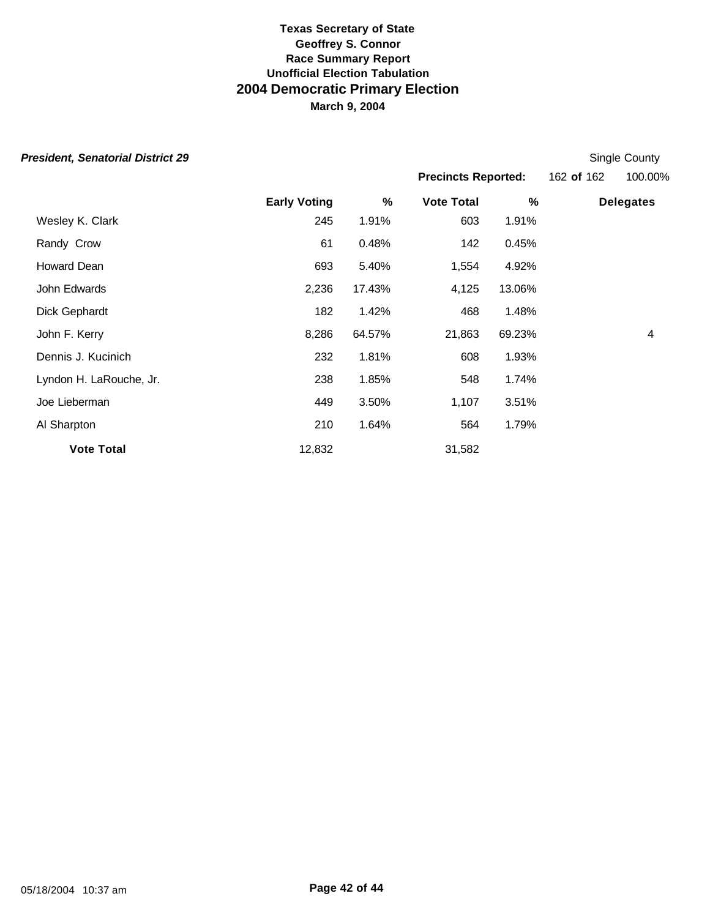| President, Senatorial District 29 |  |  |  |
|-----------------------------------|--|--|--|
|-----------------------------------|--|--|--|

**Early Voting % Vote Total % Delegates** Wesley K. Clark 245 1.91% 603 1.91% **Single County Precincts Reported:** 162 **of** 162 100.00%

| <b>Vote Total</b>       | 12,832 |        | 31,582 |        |   |
|-------------------------|--------|--------|--------|--------|---|
| Al Sharpton             | 210    | 1.64%  | 564    | 1.79%  |   |
| Joe Lieberman           | 449    | 3.50%  | 1,107  | 3.51%  |   |
| Lyndon H. LaRouche, Jr. | 238    | 1.85%  | 548    | 1.74%  |   |
| Dennis J. Kucinich      | 232    | 1.81%  | 608    | 1.93%  |   |
| John F. Kerry           | 8,286  | 64.57% | 21,863 | 69.23% | 4 |
| Dick Gephardt           | 182    | 1.42%  | 468    | 1.48%  |   |
| John Edwards            | 2,236  | 17.43% | 4,125  | 13.06% |   |
| Howard Dean             | 693    | 5.40%  | 1,554  | 4.92%  |   |
| Randy Crow              | 61     | 0.48%  | 142    | 0.45%  |   |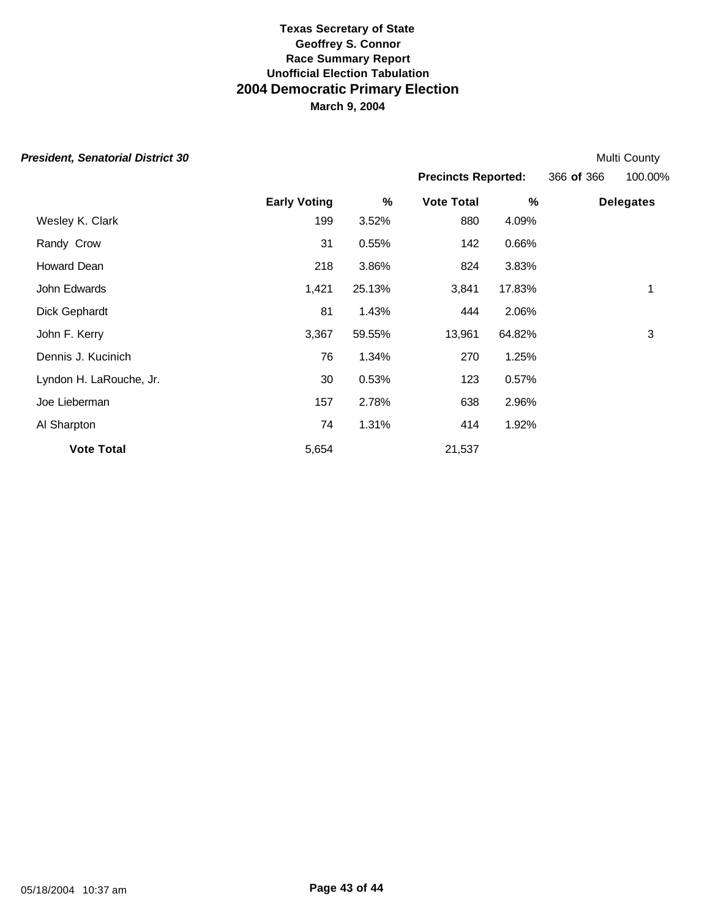| <b>President, Senatorial District 30</b> |                     |        |                            |        |            | Multi County     |
|------------------------------------------|---------------------|--------|----------------------------|--------|------------|------------------|
|                                          |                     |        | <b>Precincts Reported:</b> |        | 366 of 366 | 100.00%          |
|                                          | <b>Early Voting</b> | %      | <b>Vote Total</b>          | %      |            | <b>Delegates</b> |
| Wesley K. Clark                          | 199                 | 3.52%  | 880                        | 4.09%  |            |                  |
| Randy Crow                               | 31                  | 0.55%  | 142                        | 0.66%  |            |                  |
| Howard Dean                              | 218                 | 3.86%  | 824                        | 3.83%  |            |                  |
| John Edwards                             | 1,421               | 25.13% | 3,841                      | 17.83% |            | 1                |
| Dick Gephardt                            | 81                  | 1.43%  | 444                        | 2.06%  |            |                  |
| John F. Kerry                            | 3,367               | 59.55% | 13,961                     | 64.82% |            | 3                |
| Dennis J. Kucinich                       | 76                  | 1.34%  | 270                        | 1.25%  |            |                  |
| Lyndon H. LaRouche, Jr.                  | 30                  | 0.53%  | 123                        | 0.57%  |            |                  |
| Joe Lieberman                            | 157                 | 2.78%  | 638                        | 2.96%  |            |                  |
| Al Sharpton                              | 74                  | 1.31%  | 414                        | 1.92%  |            |                  |
| <b>Vote Total</b>                        | 5,654               |        | 21,537                     |        |            |                  |